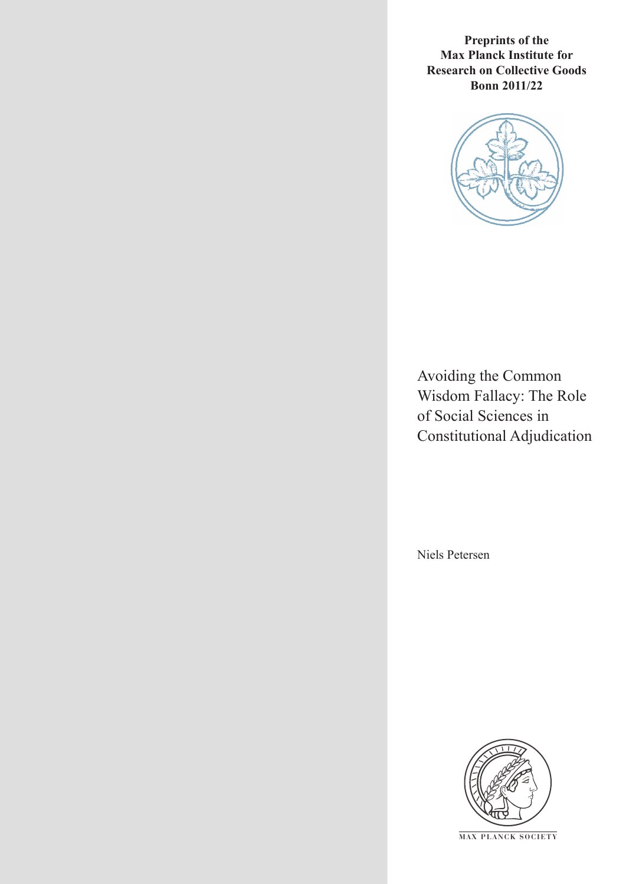**Preprints of the Max Planck Institute for Research on Collective Goods Bonn 2011/22**



Avoiding the Common Wisdom Fallacy: The Role of Social Sciences in Constitutional Adjudication

Niels Petersen



**M AX PLANCK SOCIETY**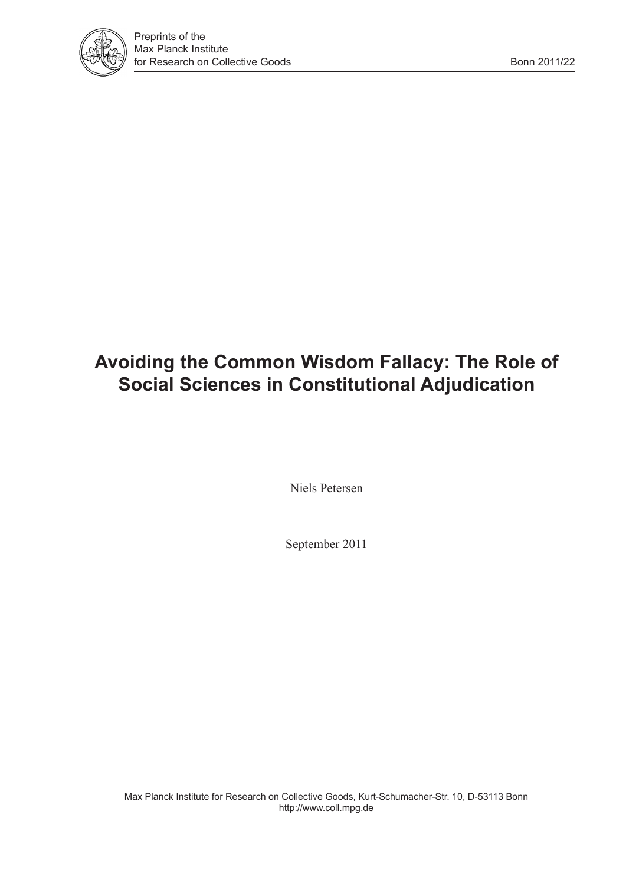

# **Avoiding the Common Wisdom Fallacy: The Role of Social Sciences in Constitutional Adjudication**

Niels Petersen

September 2011

Max Planck Institute for Research on Collective Goods, Kurt-Schumacher-Str. 10, D-53113 Bonn http://www.coll.mpg.de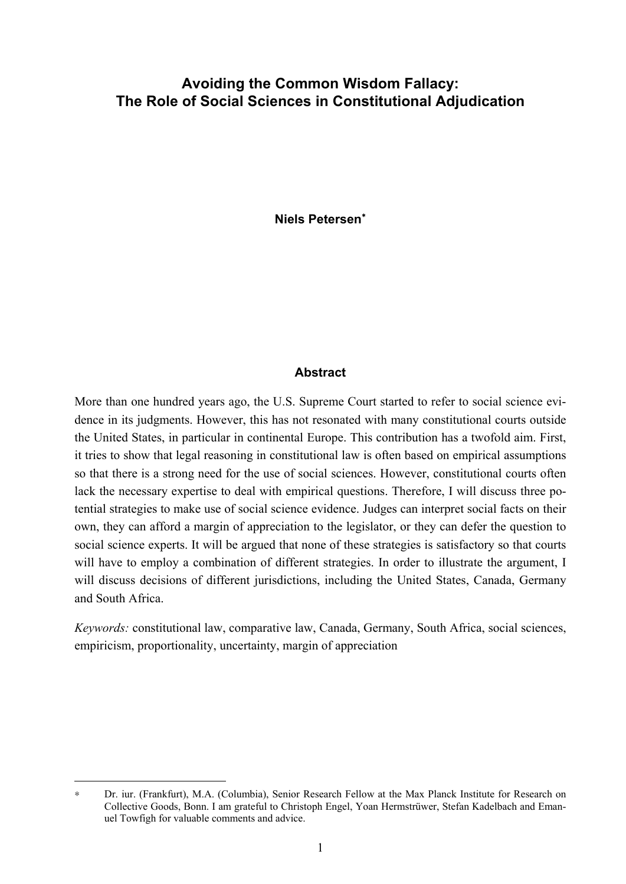# **Avoiding the Common Wisdom Fallacy: The Role of Social Sciences in Constitutional Adjudication**

**Niels Petersen**<sup>∗</sup>

#### **Abstract**

More than one hundred years ago, the U.S. Supreme Court started to refer to social science evidence in its judgments. However, this has not resonated with many constitutional courts outside the United States, in particular in continental Europe. This contribution has a twofold aim. First, it tries to show that legal reasoning in constitutional law is often based on empirical assumptions so that there is a strong need for the use of social sciences. However, constitutional courts often lack the necessary expertise to deal with empirical questions. Therefore, I will discuss three potential strategies to make use of social science evidence. Judges can interpret social facts on their own, they can afford a margin of appreciation to the legislator, or they can defer the question to social science experts. It will be argued that none of these strategies is satisfactory so that courts will have to employ a combination of different strategies. In order to illustrate the argument, I will discuss decisions of different jurisdictions, including the United States, Canada, Germany and South Africa.

*Keywords:* constitutional law, comparative law, Canada, Germany, South Africa, social sciences, empiricism, proportionality, uncertainty, margin of appreciation

<sup>∗</sup> Dr. iur. (Frankfurt), M.A. (Columbia), Senior Research Fellow at the Max Planck Institute for Research on Collective Goods, Bonn. I am grateful to Christoph Engel, Yoan Hermstrüwer, Stefan Kadelbach and Emanuel Towfigh for valuable comments and advice.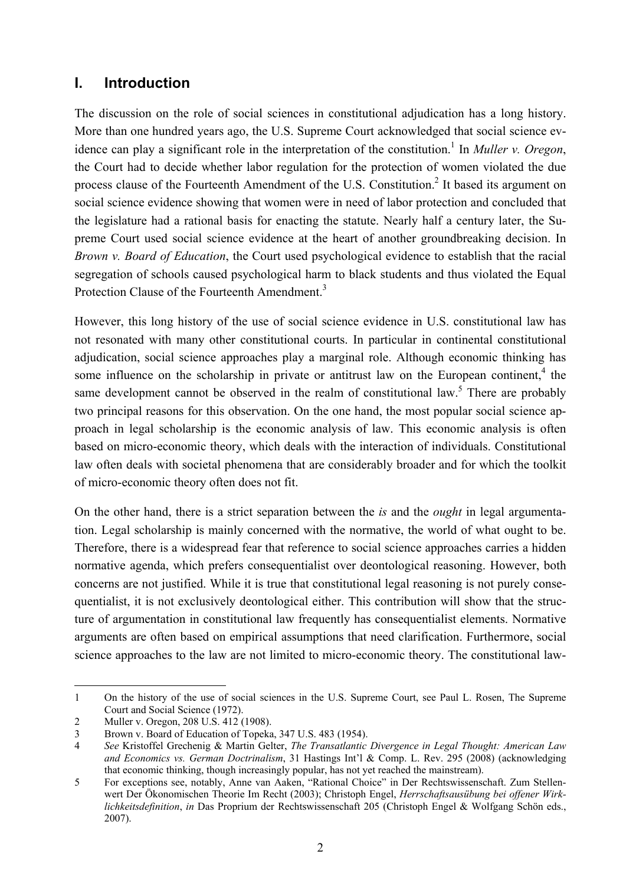# **I. Introduction**

The discussion on the role of social sciences in constitutional adjudication has a long history. More than one hundred years ago, the U.S. Supreme Court acknowledged that social science evidence can play a significant role in the interpretation of the constitution.<sup>1</sup> In *Muller v. Oregon*, the Court had to decide whether labor regulation for the protection of women violated the due process clause of the Fourteenth Amendment of the U.S. Constitution.<sup>2</sup> It based its argument on social science evidence showing that women were in need of labor protection and concluded that the legislature had a rational basis for enacting the statute. Nearly half a century later, the Supreme Court used social science evidence at the heart of another groundbreaking decision. In *Brown v. Board of Education*, the Court used psychological evidence to establish that the racial segregation of schools caused psychological harm to black students and thus violated the Equal Protection Clause of the Fourteenth Amendment.<sup>3</sup>

However, this long history of the use of social science evidence in U.S. constitutional law has not resonated with many other constitutional courts. In particular in continental constitutional adjudication, social science approaches play a marginal role. Although economic thinking has some influence on the scholarship in private or antitrust law on the European continent, $4$  the same development cannot be observed in the realm of constitutional law.<sup>5</sup> There are probably two principal reasons for this observation. On the one hand, the most popular social science approach in legal scholarship is the economic analysis of law. This economic analysis is often based on micro-economic theory, which deals with the interaction of individuals. Constitutional law often deals with societal phenomena that are considerably broader and for which the toolkit of micro-economic theory often does not fit.

On the other hand, there is a strict separation between the *is* and the *ought* in legal argumentation. Legal scholarship is mainly concerned with the normative, the world of what ought to be. Therefore, there is a widespread fear that reference to social science approaches carries a hidden normative agenda, which prefers consequentialist over deontological reasoning. However, both concerns are not justified. While it is true that constitutional legal reasoning is not purely consequentialist, it is not exclusively deontological either. This contribution will show that the structure of argumentation in constitutional law frequently has consequentialist elements. Normative arguments are often based on empirical assumptions that need clarification. Furthermore, social science approaches to the law are not limited to micro-economic theory. The constitutional law-

<sup>-</sup>1 On the history of the use of social sciences in the U.S. Supreme Court, see Paul L. Rosen, The Supreme Court and Social Science (1972).

<sup>2</sup> Muller v. Oregon, 208 U.S. 412 (1908).

<sup>3</sup> Brown v. Board of Education of Topeka, 347 U.S. 483 (1954).

<sup>4</sup> *See* Kristoffel Grechenig & Martin Gelter, *The Transatlantic Divergence in Legal Thought: American Law and Economics vs. German Doctrinalism*, 31 Hastings Int'l & Comp. L. Rev. 295 (2008) (acknowledging that economic thinking, though increasingly popular, has not yet reached the mainstream).

<sup>5</sup> For exceptions see, notably, Anne van Aaken, "Rational Choice" in Der Rechtswissenschaft. Zum Stellenwert Der Ökonomischen Theorie Im Recht (2003); Christoph Engel, *Herrschaftsausübung bei offener Wirklichkeitsdefinition*, *in* Das Proprium der Rechtswissenschaft 205 (Christoph Engel & Wolfgang Schön eds., 2007).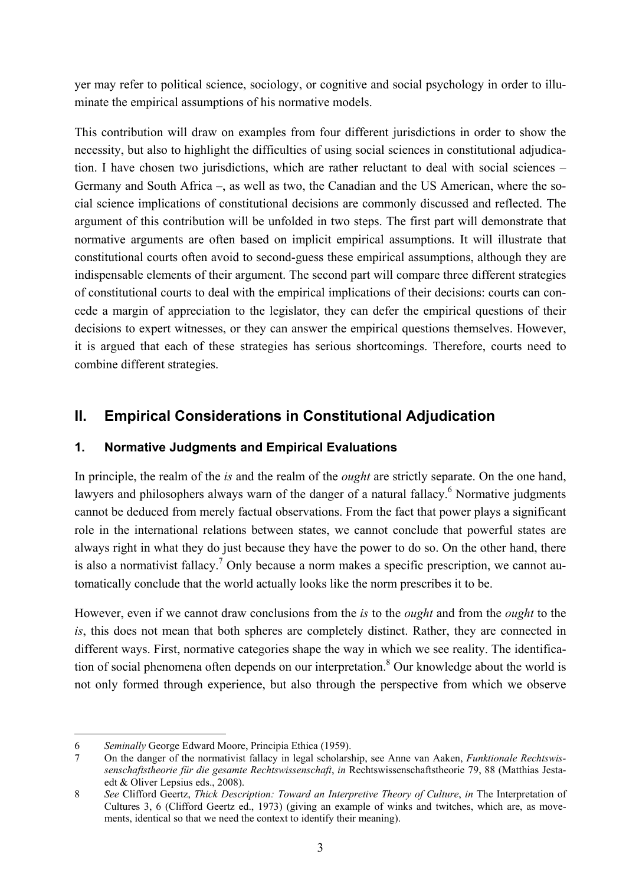yer may refer to political science, sociology, or cognitive and social psychology in order to illuminate the empirical assumptions of his normative models.

This contribution will draw on examples from four different jurisdictions in order to show the necessity, but also to highlight the difficulties of using social sciences in constitutional adjudication. I have chosen two jurisdictions, which are rather reluctant to deal with social sciences – Germany and South Africa –, as well as two, the Canadian and the US American, where the social science implications of constitutional decisions are commonly discussed and reflected. The argument of this contribution will be unfolded in two steps. The first part will demonstrate that normative arguments are often based on implicit empirical assumptions. It will illustrate that constitutional courts often avoid to second-guess these empirical assumptions, although they are indispensable elements of their argument. The second part will compare three different strategies of constitutional courts to deal with the empirical implications of their decisions: courts can concede a margin of appreciation to the legislator, they can defer the empirical questions of their decisions to expert witnesses, or they can answer the empirical questions themselves. However, it is argued that each of these strategies has serious shortcomings. Therefore, courts need to combine different strategies.

# **II. Empirical Considerations in Constitutional Adjudication**

## **1. Normative Judgments and Empirical Evaluations**

In principle, the realm of the *is* and the realm of the *ought* are strictly separate. On the one hand, lawyers and philosophers always warn of the danger of a natural fallacy.<sup>6</sup> Normative judgments cannot be deduced from merely factual observations. From the fact that power plays a significant role in the international relations between states, we cannot conclude that powerful states are always right in what they do just because they have the power to do so. On the other hand, there is also a normativist fallacy.<sup>7</sup> Only because a norm makes a specific prescription, we cannot automatically conclude that the world actually looks like the norm prescribes it to be.

However, even if we cannot draw conclusions from the *is* to the *ought* and from the *ought* to the *is*, this does not mean that both spheres are completely distinct. Rather, they are connected in different ways. First, normative categories shape the way in which we see reality. The identification of social phenomena often depends on our interpretation.<sup>8</sup> Our knowledge about the world is not only formed through experience, but also through the perspective from which we observe

<sup>6</sup> *Seminally* George Edward Moore, Principia Ethica (1959).

<sup>7</sup> On the danger of the normativist fallacy in legal scholarship, see Anne van Aaken, *Funktionale Rechtswissenschaftstheorie für die gesamte Rechtswissenschaft*, *in* Rechtswissenschaftstheorie 79, 88 (Matthias Jestaedt & Oliver Lepsius eds., 2008).

<sup>8</sup> *See* Clifford Geertz, *Thick Description: Toward an Interpretive Theory of Culture*, *in* The Interpretation of Cultures 3, 6 (Clifford Geertz ed., 1973) (giving an example of winks and twitches, which are, as movements, identical so that we need the context to identify their meaning).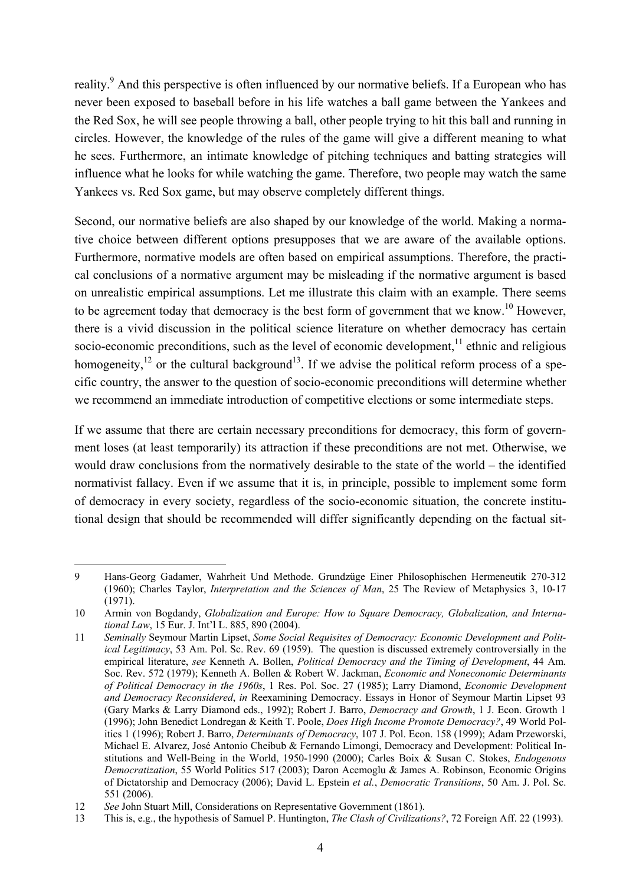reality.<sup>9</sup> And this perspective is often influenced by our normative beliefs. If a European who has never been exposed to baseball before in his life watches a ball game between the Yankees and the Red Sox, he will see people throwing a ball, other people trying to hit this ball and running in circles. However, the knowledge of the rules of the game will give a different meaning to what he sees. Furthermore, an intimate knowledge of pitching techniques and batting strategies will influence what he looks for while watching the game. Therefore, two people may watch the same Yankees vs. Red Sox game, but may observe completely different things.

Second, our normative beliefs are also shaped by our knowledge of the world. Making a normative choice between different options presupposes that we are aware of the available options. Furthermore, normative models are often based on empirical assumptions. Therefore, the practical conclusions of a normative argument may be misleading if the normative argument is based on unrealistic empirical assumptions. Let me illustrate this claim with an example. There seems to be agreement today that democracy is the best form of government that we know.<sup>10</sup> However, there is a vivid discussion in the political science literature on whether democracy has certain socio-economic preconditions, such as the level of economic development.<sup>11</sup> ethnic and religious homogeneity, $12$  or the cultural background<sup>13</sup>. If we advise the political reform process of a specific country, the answer to the question of socio-economic preconditions will determine whether we recommend an immediate introduction of competitive elections or some intermediate steps.

If we assume that there are certain necessary preconditions for democracy, this form of government loses (at least temporarily) its attraction if these preconditions are not met. Otherwise, we would draw conclusions from the normatively desirable to the state of the world – the identified normativist fallacy. Even if we assume that it is, in principle, possible to implement some form of democracy in every society, regardless of the socio-economic situation, the concrete institutional design that should be recommended will differ significantly depending on the factual sit-

<sup>-</sup>9 Hans-Georg Gadamer, Wahrheit Und Methode. Grundzüge Einer Philosophischen Hermeneutik 270-312 (1960); Charles Taylor, *Interpretation and the Sciences of Man*, 25 The Review of Metaphysics 3, 10-17 (1971).

<sup>10</sup> Armin von Bogdandy, *Globalization and Europe: How to Square Democracy, Globalization, and International Law*, 15 Eur. J. Int'l L. 885, 890 (2004).

<sup>11</sup> *Seminally* Seymour Martin Lipset, *Some Social Requisites of Democracy: Economic Development and Political Legitimacy*, 53 Am. Pol. Sc. Rev. 69 (1959). The question is discussed extremely controversially in the empirical literature, *see* Kenneth A. Bollen, *Political Democracy and the Timing of Development*, 44 Am. Soc. Rev. 572 (1979); Kenneth A. Bollen & Robert W. Jackman, *Economic and Noneconomic Determinants of Political Democracy in the 1960s*, 1 Res. Pol. Soc. 27 (1985); Larry Diamond, *Economic Development and Democracy Reconsidered*, *in* Reexamining Democracy. Essays in Honor of Seymour Martin Lipset 93 (Gary Marks & Larry Diamond eds., 1992); Robert J. Barro, *Democracy and Growth*, 1 J. Econ. Growth 1 (1996); John Benedict Londregan & Keith T. Poole, *Does High Income Promote Democracy?*, 49 World Politics 1 (1996); Robert J. Barro, *Determinants of Democracy*, 107 J. Pol. Econ. 158 (1999); Adam Przeworski, Michael E. Alvarez, José Antonio Cheibub & Fernando Limongi, Democracy and Development: Political Institutions and Well-Being in the World, 1950-1990 (2000); Carles Boix & Susan C. Stokes, *Endogenous Democratization*, 55 World Politics 517 (2003); Daron Acemoglu & James A. Robinson, Economic Origins of Dictatorship and Democracy (2006); David L. Epstein *et al.*, *Democratic Transitions*, 50 Am. J. Pol. Sc. 551 (2006).

<sup>12</sup> *See* John Stuart Mill, Considerations on Representative Government (1861).

<sup>13</sup> This is, e.g., the hypothesis of Samuel P. Huntington, *The Clash of Civilizations?*, 72 Foreign Aff. 22 (1993).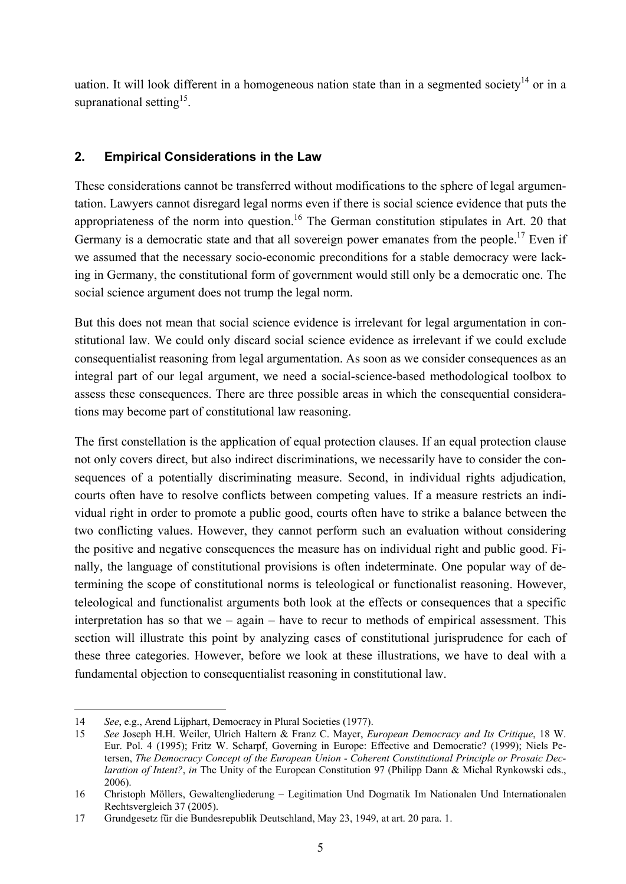uation. It will look different in a homogeneous nation state than in a segmented society<sup>14</sup> or in a supranational setting<sup>15</sup>.

## **2. Empirical Considerations in the Law**

These considerations cannot be transferred without modifications to the sphere of legal argumentation. Lawyers cannot disregard legal norms even if there is social science evidence that puts the appropriateness of the norm into question.<sup>16</sup> The German constitution stipulates in Art. 20 that Germany is a democratic state and that all sovereign power emanates from the people.<sup>17</sup> Even if we assumed that the necessary socio-economic preconditions for a stable democracy were lacking in Germany, the constitutional form of government would still only be a democratic one. The social science argument does not trump the legal norm.

But this does not mean that social science evidence is irrelevant for legal argumentation in constitutional law. We could only discard social science evidence as irrelevant if we could exclude consequentialist reasoning from legal argumentation. As soon as we consider consequences as an integral part of our legal argument, we need a social-science-based methodological toolbox to assess these consequences. There are three possible areas in which the consequential considerations may become part of constitutional law reasoning.

The first constellation is the application of equal protection clauses. If an equal protection clause not only covers direct, but also indirect discriminations, we necessarily have to consider the consequences of a potentially discriminating measure. Second, in individual rights adjudication, courts often have to resolve conflicts between competing values. If a measure restricts an individual right in order to promote a public good, courts often have to strike a balance between the two conflicting values. However, they cannot perform such an evaluation without considering the positive and negative consequences the measure has on individual right and public good. Finally, the language of constitutional provisions is often indeterminate. One popular way of determining the scope of constitutional norms is teleological or functionalist reasoning. However, teleological and functionalist arguments both look at the effects or consequences that a specific interpretation has so that we – again – have to recur to methods of empirical assessment. This section will illustrate this point by analyzing cases of constitutional jurisprudence for each of these three categories. However, before we look at these illustrations, we have to deal with a fundamental objection to consequentialist reasoning in constitutional law.

<sup>-</sup>14 *See*, e.g., Arend Lijphart, Democracy in Plural Societies (1977).

<sup>15</sup> *See* Joseph H.H. Weiler, Ulrich Haltern & Franz C. Mayer, *European Democracy and Its Critique*, 18 W. Eur. Pol. 4 (1995); Fritz W. Scharpf, Governing in Europe: Effective and Democratic? (1999); Niels Petersen, *The Democracy Concept of the European Union - Coherent Constitutional Principle or Prosaic Declaration of Intent?*, *in* The Unity of the European Constitution 97 (Philipp Dann & Michal Rynkowski eds., 2006).

<sup>16</sup> Christoph Möllers, Gewaltengliederung – Legitimation Und Dogmatik Im Nationalen Und Internationalen Rechtsvergleich 37 (2005).

<sup>17</sup> Grundgesetz für die Bundesrepublik Deutschland, May 23, 1949, at art. 20 para. 1.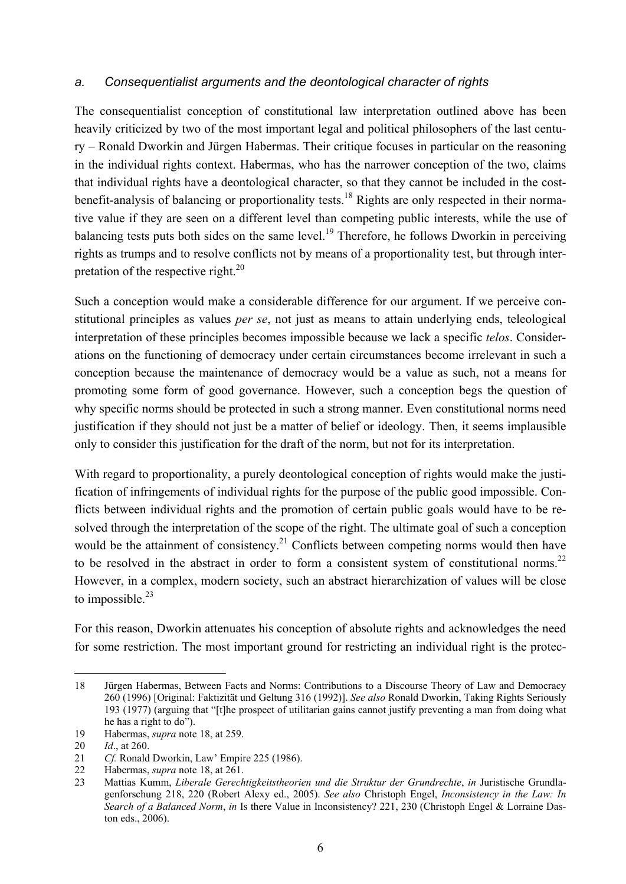#### *a. Consequentialist arguments and the deontological character of rights*

The consequentialist conception of constitutional law interpretation outlined above has been heavily criticized by two of the most important legal and political philosophers of the last century – Ronald Dworkin and Jürgen Habermas. Their critique focuses in particular on the reasoning in the individual rights context. Habermas, who has the narrower conception of the two, claims that individual rights have a deontological character, so that they cannot be included in the costbenefit-analysis of balancing or proportionality tests.<sup>18</sup> Rights are only respected in their normative value if they are seen on a different level than competing public interests, while the use of balancing tests puts both sides on the same level.<sup>19</sup> Therefore, he follows Dworkin in perceiving rights as trumps and to resolve conflicts not by means of a proportionality test, but through interpretation of the respective right. $^{20}$ 

Such a conception would make a considerable difference for our argument. If we perceive constitutional principles as values *per se*, not just as means to attain underlying ends, teleological interpretation of these principles becomes impossible because we lack a specific *telos*. Considerations on the functioning of democracy under certain circumstances become irrelevant in such a conception because the maintenance of democracy would be a value as such, not a means for promoting some form of good governance. However, such a conception begs the question of why specific norms should be protected in such a strong manner. Even constitutional norms need justification if they should not just be a matter of belief or ideology. Then, it seems implausible only to consider this justification for the draft of the norm, but not for its interpretation.

With regard to proportionality, a purely deontological conception of rights would make the justification of infringements of individual rights for the purpose of the public good impossible. Conflicts between individual rights and the promotion of certain public goals would have to be resolved through the interpretation of the scope of the right. The ultimate goal of such a conception would be the attainment of consistency.<sup>21</sup> Conflicts between competing norms would then have to be resolved in the abstract in order to form a consistent system of constitutional norms.<sup>22</sup> However, in a complex, modern society, such an abstract hierarchization of values will be close to impossible  $^{23}$ 

For this reason, Dworkin attenuates his conception of absolute rights and acknowledges the need for some restriction. The most important ground for restricting an individual right is the protec-

<sup>-</sup>18 Jürgen Habermas, Between Facts and Norms: Contributions to a Discourse Theory of Law and Democracy 260 (1996) [Original: Faktizität und Geltung 316 (1992)]. *See also* Ronald Dworkin, Taking Rights Seriously 193 (1977) (arguing that "[t]he prospect of utilitarian gains cannot justify preventing a man from doing what he has a right to do").

<sup>19</sup> Habermas, *supra* note 18, at 259.

<sup>20</sup> *Id*., at 260.

<sup>21</sup> *Cf.* Ronald Dworkin, Law' Empire 225 (1986).

<sup>22</sup> Habermas, *supra* note 18, at 261.

<sup>23</sup> Mattias Kumm, *Liberale Gerechtigkeitstheorien und die Struktur der Grundrechte*, *in* Juristische Grundlagenforschung 218, 220 (Robert Alexy ed., 2005). *See also* Christoph Engel, *Inconsistency in the Law: In Search of a Balanced Norm*, *in* Is there Value in Inconsistency? 221, 230 (Christoph Engel & Lorraine Daston eds., 2006).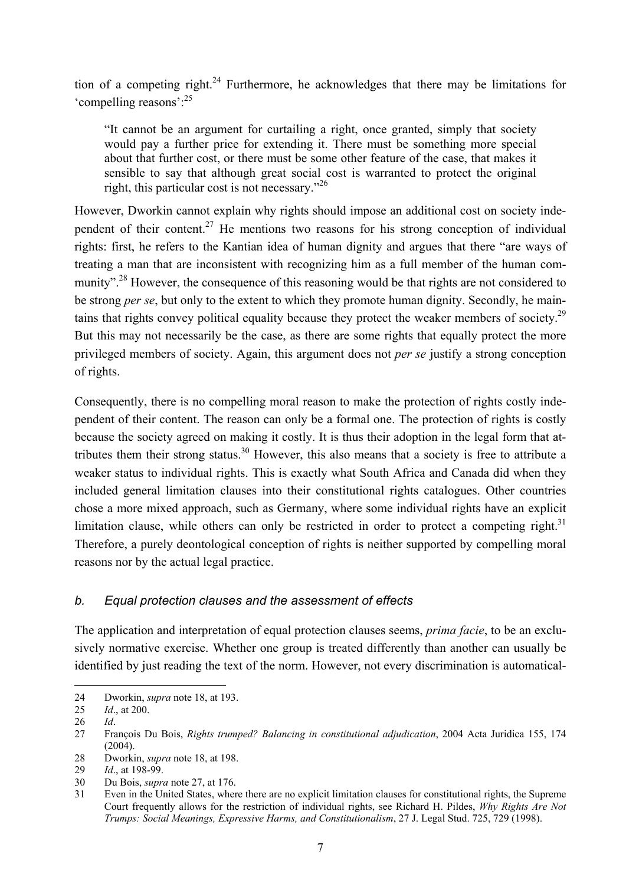tion of a competing right.<sup>24</sup> Furthermore, he acknowledges that there may be limitations for 'compelling reasons':25

"It cannot be an argument for curtailing a right, once granted, simply that society would pay a further price for extending it. There must be something more special about that further cost, or there must be some other feature of the case, that makes it sensible to say that although great social cost is warranted to protect the original right, this particular cost is not necessary."<sup>26</sup>

However, Dworkin cannot explain why rights should impose an additional cost on society independent of their content.<sup>27</sup> He mentions two reasons for his strong conception of individual rights: first, he refers to the Kantian idea of human dignity and argues that there "are ways of treating a man that are inconsistent with recognizing him as a full member of the human community".<sup>28</sup> However, the consequence of this reasoning would be that rights are not considered to be strong *per se*, but only to the extent to which they promote human dignity. Secondly, he maintains that rights convey political equality because they protect the weaker members of society.<sup>29</sup> But this may not necessarily be the case, as there are some rights that equally protect the more privileged members of society. Again, this argument does not *per se* justify a strong conception of rights.

Consequently, there is no compelling moral reason to make the protection of rights costly independent of their content. The reason can only be a formal one. The protection of rights is costly because the society agreed on making it costly. It is thus their adoption in the legal form that attributes them their strong status.<sup>30</sup> However, this also means that a society is free to attribute a weaker status to individual rights. This is exactly what South Africa and Canada did when they included general limitation clauses into their constitutional rights catalogues. Other countries chose a more mixed approach, such as Germany, where some individual rights have an explicit limitation clause, while others can only be restricted in order to protect a competing right.<sup>31</sup> Therefore, a purely deontological conception of rights is neither supported by compelling moral reasons nor by the actual legal practice.

#### *b. Equal protection clauses and the assessment of effects*

The application and interpretation of equal protection clauses seems, *prima facie*, to be an exclusively normative exercise. Whether one group is treated differently than another can usually be identified by just reading the text of the norm. However, not every discrimination is automatical-

<sup>24</sup> Dworkin, *supra* note 18, at 193.

<sup>25</sup> *Id*., at 200.

<sup>26</sup> *Id*.

<sup>27</sup> François Du Bois, *Rights trumped? Balancing in constitutional adjudication*, 2004 Acta Juridica 155, 174  $(2004)$ .

<sup>28</sup> Dworkin, *supra* note 18, at 198.

<sup>29</sup> *Id*., at 198-99.

<sup>30</sup> Du Bois, *supra* note 27, at 176.

<sup>31</sup> Even in the United States, where there are no explicit limitation clauses for constitutional rights, the Supreme Court frequently allows for the restriction of individual rights, see Richard H. Pildes, *Why Rights Are Not Trumps: Social Meanings, Expressive Harms, and Constitutionalism*, 27 J. Legal Stud. 725, 729 (1998).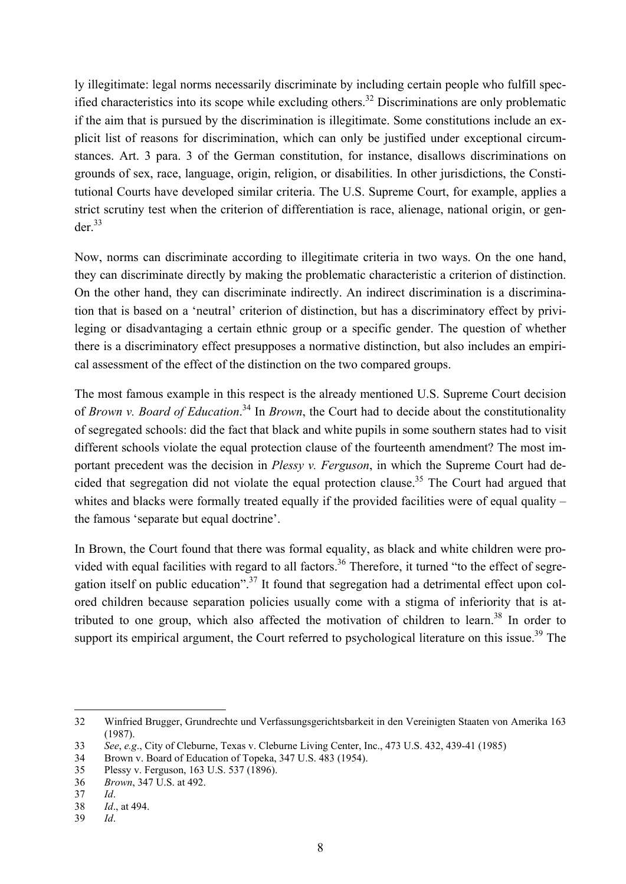ly illegitimate: legal norms necessarily discriminate by including certain people who fulfill specified characteristics into its scope while excluding others.<sup>32</sup> Discriminations are only problematic if the aim that is pursued by the discrimination is illegitimate. Some constitutions include an explicit list of reasons for discrimination, which can only be justified under exceptional circumstances. Art. 3 para. 3 of the German constitution, for instance, disallows discriminations on grounds of sex, race, language, origin, religion, or disabilities. In other jurisdictions, the Constitutional Courts have developed similar criteria. The U.S. Supreme Court, for example, applies a strict scrutiny test when the criterion of differentiation is race, alienage, national origin, or gen $der<sup>33</sup>$ 

Now, norms can discriminate according to illegitimate criteria in two ways. On the one hand, they can discriminate directly by making the problematic characteristic a criterion of distinction. On the other hand, they can discriminate indirectly. An indirect discrimination is a discrimination that is based on a 'neutral' criterion of distinction, but has a discriminatory effect by privileging or disadvantaging a certain ethnic group or a specific gender. The question of whether there is a discriminatory effect presupposes a normative distinction, but also includes an empirical assessment of the effect of the distinction on the two compared groups.

The most famous example in this respect is the already mentioned U.S. Supreme Court decision of *Brown v. Board of Education*. 34 In *Brown*, the Court had to decide about the constitutionality of segregated schools: did the fact that black and white pupils in some southern states had to visit different schools violate the equal protection clause of the fourteenth amendment? The most important precedent was the decision in *Plessy v. Ferguson*, in which the Supreme Court had decided that segregation did not violate the equal protection clause.<sup>35</sup> The Court had argued that whites and blacks were formally treated equally if the provided facilities were of equal quality – the famous 'separate but equal doctrine'.

In Brown, the Court found that there was formal equality, as black and white children were provided with equal facilities with regard to all factors.<sup>36</sup> Therefore, it turned "to the effect of segregation itself on public education".37 It found that segregation had a detrimental effect upon colored children because separation policies usually come with a stigma of inferiority that is attributed to one group, which also affected the motivation of children to learn.<sup>38</sup> In order to support its empirical argument, the Court referred to psychological literature on this issue.<sup>39</sup> The

<sup>32</sup> Winfried Brugger, Grundrechte und Verfassungsgerichtsbarkeit in den Vereinigten Staaten von Amerika 163 (1987).

<sup>33</sup> *See*, *e.g*., City of Cleburne, Texas v. Cleburne Living Center, Inc., 473 U.S. 432, 439-41 (1985)

<sup>34</sup> Brown v. Board of Education of Topeka, 347 U.S. 483 (1954).

<sup>35</sup> Plessy v. Ferguson, 163 U.S. 537 (1896).

<sup>36</sup> *Brown*, 347 U.S. at 492.

<sup>37</sup> *Id*.

<sup>38</sup> *Id*., at 494.

<sup>39</sup> *Id*.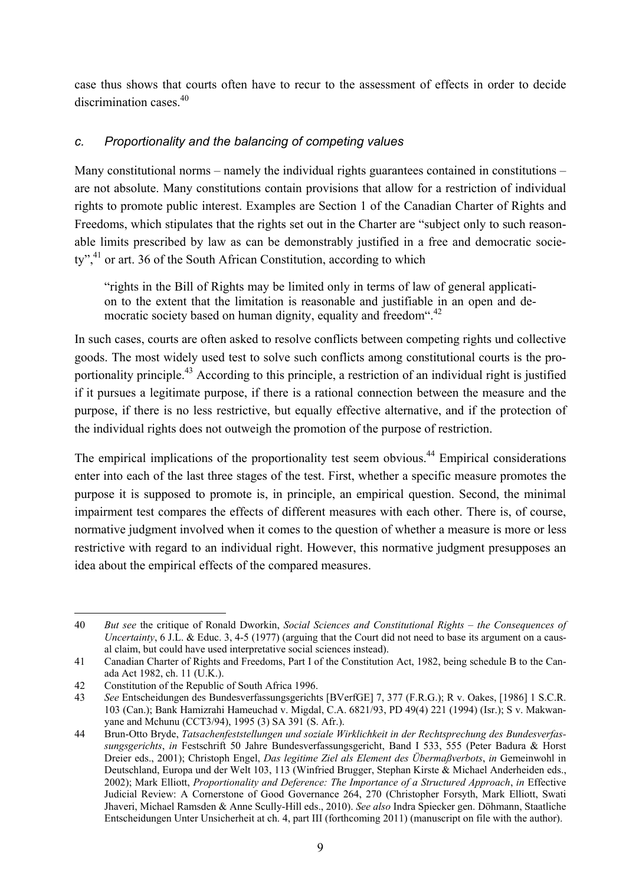case thus shows that courts often have to recur to the assessment of effects in order to decide discrimination cases  $40$ 

## *c. Proportionality and the balancing of competing values*

Many constitutional norms – namely the individual rights guarantees contained in constitutions – are not absolute. Many constitutions contain provisions that allow for a restriction of individual rights to promote public interest. Examples are Section 1 of the Canadian Charter of Rights and Freedoms, which stipulates that the rights set out in the Charter are "subject only to such reasonable limits prescribed by law as can be demonstrably justified in a free and democratic society",<sup>41</sup> or art. 36 of the South African Constitution, according to which

"rights in the Bill of Rights may be limited only in terms of law of general application to the extent that the limitation is reasonable and justifiable in an open and democratic society based on human dignity, equality and freedom<sup>".42</sup>

In such cases, courts are often asked to resolve conflicts between competing rights und collective goods. The most widely used test to solve such conflicts among constitutional courts is the proportionality principle.43 According to this principle, a restriction of an individual right is justified if it pursues a legitimate purpose, if there is a rational connection between the measure and the purpose, if there is no less restrictive, but equally effective alternative, and if the protection of the individual rights does not outweigh the promotion of the purpose of restriction.

The empirical implications of the proportionality test seem obvious.<sup>44</sup> Empirical considerations enter into each of the last three stages of the test. First, whether a specific measure promotes the purpose it is supposed to promote is, in principle, an empirical question. Second, the minimal impairment test compares the effects of different measures with each other. There is, of course, normative judgment involved when it comes to the question of whether a measure is more or less restrictive with regard to an individual right. However, this normative judgment presupposes an idea about the empirical effects of the compared measures.

<sup>-</sup>40 *But see* the critique of Ronald Dworkin, *Social Sciences and Constitutional Rights – the Consequences of Uncertainty*, 6 J.L. & Educ. 3, 4-5 (1977) (arguing that the Court did not need to base its argument on a causal claim, but could have used interpretative social sciences instead).

<sup>41</sup> Canadian Charter of Rights and Freedoms, Part I of the Constitution Act, 1982, being schedule B to the Canada Act 1982, ch. 11 (U.K.).

<sup>42</sup> Constitution of the Republic of South Africa 1996.

<sup>43</sup> *See* Entscheidungen des Bundesverfassungsgerichts [BVerfGE] 7, 377 (F.R.G.); R v. Oakes, [1986] 1 S.C.R. 103 (Can.); Bank Hamizrahi Hameuchad v. Migdal, C.A. 6821/93, PD 49(4) 221 (1994) (Isr.); S v. Makwanyane and Mchunu (CCT3/94), 1995 (3) SA 391 (S. Afr.).

<sup>44</sup> Brun-Otto Bryde, *Tatsachenfeststellungen und soziale Wirklichkeit in der Rechtsprechung des Bundesverfassungsgerichts*, *in* Festschrift 50 Jahre Bundesverfassungsgericht, Band I 533, 555 (Peter Badura & Horst Dreier eds., 2001); Christoph Engel, *Das legitime Ziel als Element des Übermaßverbots*, *in* Gemeinwohl in Deutschland, Europa und der Welt 103, 113 (Winfried Brugger, Stephan Kirste & Michael Anderheiden eds., 2002); Mark Elliott, *Proportionality and Deference: The Importance of a Structured Approach*, *in* Effective Judicial Review: A Cornerstone of Good Governance 264, 270 (Christopher Forsyth, Mark Elliott, Swati Jhaveri, Michael Ramsden & Anne Scully-Hill eds., 2010). *See also* Indra Spiecker gen. Döhmann, Staatliche Entscheidungen Unter Unsicherheit at ch. 4, part III (forthcoming 2011) (manuscript on file with the author).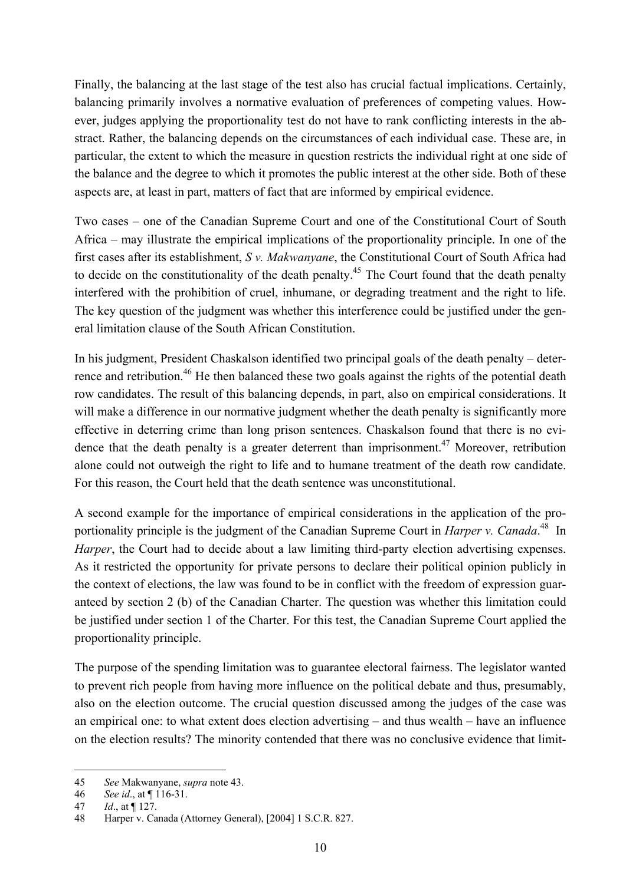Finally, the balancing at the last stage of the test also has crucial factual implications. Certainly, balancing primarily involves a normative evaluation of preferences of competing values. However, judges applying the proportionality test do not have to rank conflicting interests in the abstract. Rather, the balancing depends on the circumstances of each individual case. These are, in particular, the extent to which the measure in question restricts the individual right at one side of the balance and the degree to which it promotes the public interest at the other side. Both of these aspects are, at least in part, matters of fact that are informed by empirical evidence.

Two cases – one of the Canadian Supreme Court and one of the Constitutional Court of South Africa – may illustrate the empirical implications of the proportionality principle. In one of the first cases after its establishment, *S v. Makwanyane*, the Constitutional Court of South Africa had to decide on the constitutionality of the death penalty.<sup>45</sup> The Court found that the death penalty interfered with the prohibition of cruel, inhumane, or degrading treatment and the right to life. The key question of the judgment was whether this interference could be justified under the general limitation clause of the South African Constitution.

In his judgment, President Chaskalson identified two principal goals of the death penalty – deterrence and retribution.<sup>46</sup> He then balanced these two goals against the rights of the potential death row candidates. The result of this balancing depends, in part, also on empirical considerations. It will make a difference in our normative judgment whether the death penalty is significantly more effective in deterring crime than long prison sentences. Chaskalson found that there is no evidence that the death penalty is a greater deterrent than imprisonment.<sup>47</sup> Moreover, retribution alone could not outweigh the right to life and to humane treatment of the death row candidate. For this reason, the Court held that the death sentence was unconstitutional.

A second example for the importance of empirical considerations in the application of the proportionality principle is the judgment of the Canadian Supreme Court in *Harper v. Canada*. 48 In *Harper*, the Court had to decide about a law limiting third-party election advertising expenses. As it restricted the opportunity for private persons to declare their political opinion publicly in the context of elections, the law was found to be in conflict with the freedom of expression guaranteed by section 2 (b) of the Canadian Charter. The question was whether this limitation could be justified under section 1 of the Charter. For this test, the Canadian Supreme Court applied the proportionality principle.

The purpose of the spending limitation was to guarantee electoral fairness. The legislator wanted to prevent rich people from having more influence on the political debate and thus, presumably, also on the election outcome. The crucial question discussed among the judges of the case was an empirical one: to what extent does election advertising – and thus wealth – have an influence on the election results? The minority contended that there was no conclusive evidence that limit-

<sup>45</sup> *See* Makwanyane, *supra* note 43.

<sup>46</sup> *See id*., at ¶ 116-31.

<sup>47</sup> *Id*., at ¶ 127.

<sup>48</sup> Harper v. Canada (Attorney General), [2004] 1 S.C.R. 827.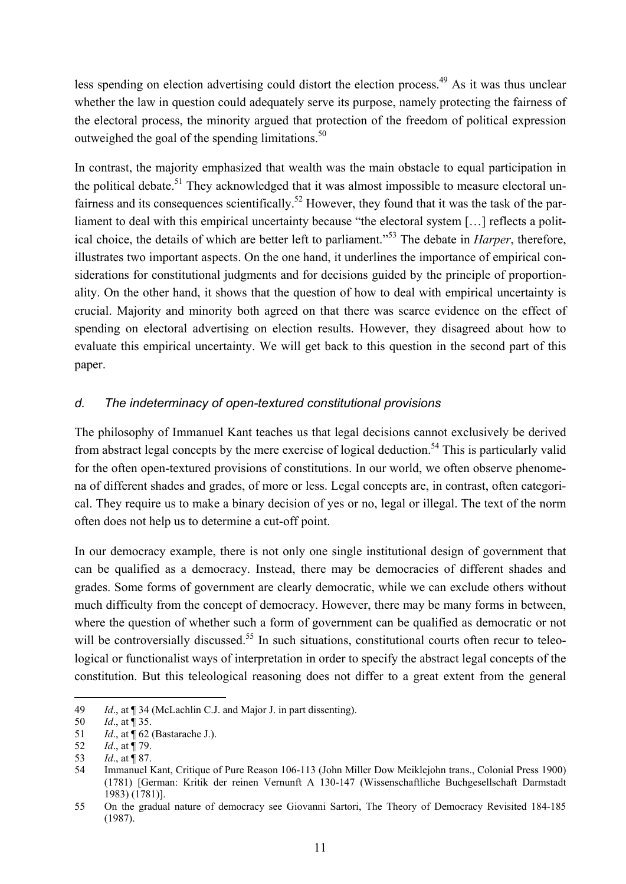less spending on election advertising could distort the election process.<sup>49</sup> As it was thus unclear whether the law in question could adequately serve its purpose, namely protecting the fairness of the electoral process, the minority argued that protection of the freedom of political expression outweighed the goal of the spending limitations.<sup>50</sup>

In contrast, the majority emphasized that wealth was the main obstacle to equal participation in the political debate.<sup>51</sup> They acknowledged that it was almost impossible to measure electoral unfairness and its consequences scientifically.<sup>52</sup> However, they found that it was the task of the parliament to deal with this empirical uncertainty because "the electoral system [...] reflects a political choice, the details of which are better left to parliament."53 The debate in *Harper*, therefore, illustrates two important aspects. On the one hand, it underlines the importance of empirical considerations for constitutional judgments and for decisions guided by the principle of proportionality. On the other hand, it shows that the question of how to deal with empirical uncertainty is crucial. Majority and minority both agreed on that there was scarce evidence on the effect of spending on electoral advertising on election results. However, they disagreed about how to evaluate this empirical uncertainty. We will get back to this question in the second part of this paper.

## *d. The indeterminacy of open-textured constitutional provisions*

The philosophy of Immanuel Kant teaches us that legal decisions cannot exclusively be derived from abstract legal concepts by the mere exercise of logical deduction.<sup>54</sup> This is particularly valid for the often open-textured provisions of constitutions. In our world, we often observe phenomena of different shades and grades, of more or less. Legal concepts are, in contrast, often categorical. They require us to make a binary decision of yes or no, legal or illegal. The text of the norm often does not help us to determine a cut-off point.

In our democracy example, there is not only one single institutional design of government that can be qualified as a democracy. Instead, there may be democracies of different shades and grades. Some forms of government are clearly democratic, while we can exclude others without much difficulty from the concept of democracy. However, there may be many forms in between, where the question of whether such a form of government can be qualified as democratic or not will be controversially discussed.<sup>55</sup> In such situations, constitutional courts often recur to teleological or functionalist ways of interpretation in order to specify the abstract legal concepts of the constitution. But this teleological reasoning does not differ to a great extent from the general

<sup>-</sup>49 *Id*., at ¶ 34 (McLachlin C.J. and Major J. in part dissenting).

<sup>50</sup> *Id*., at ¶ 35.

<sup>51</sup> *Id*., at ¶ 62 (Bastarache J.).

<sup>52</sup> *Id*., at ¶ 79.

<sup>53</sup> *Id*., at ¶ 87.

<sup>54</sup> Immanuel Kant, Critique of Pure Reason 106-113 (John Miller Dow Meiklejohn trans., Colonial Press 1900) (1781) [German: Kritik der reinen Vernunft A 130-147 (Wissenschaftliche Buchgesellschaft Darmstadt 1983) (1781)].

<sup>55</sup> On the gradual nature of democracy see Giovanni Sartori, The Theory of Democracy Revisited 184-185 (1987).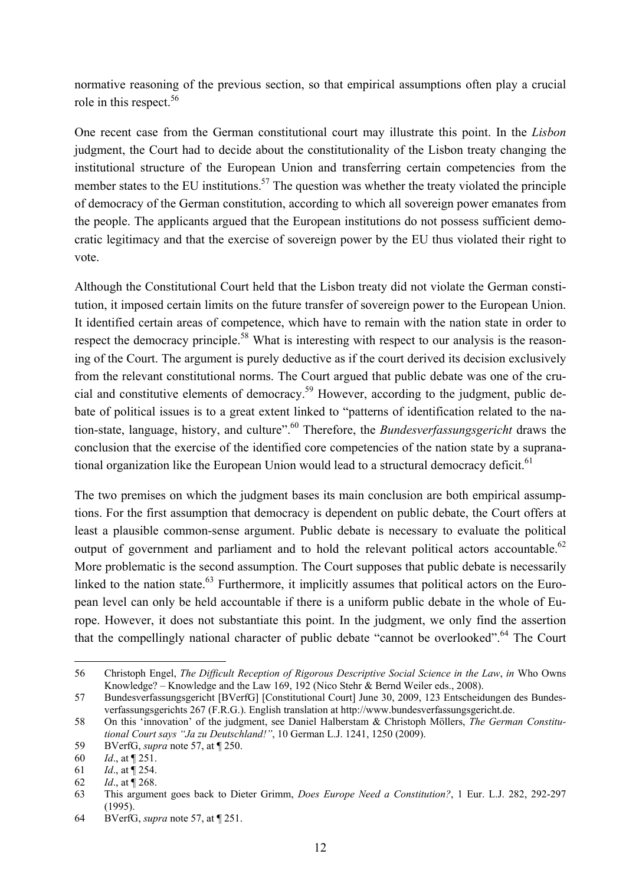normative reasoning of the previous section, so that empirical assumptions often play a crucial role in this respect.<sup>56</sup>

One recent case from the German constitutional court may illustrate this point. In the *Lisbon* judgment, the Court had to decide about the constitutionality of the Lisbon treaty changing the institutional structure of the European Union and transferring certain competencies from the member states to the EU institutions.<sup>57</sup> The question was whether the treaty violated the principle of democracy of the German constitution, according to which all sovereign power emanates from the people. The applicants argued that the European institutions do not possess sufficient democratic legitimacy and that the exercise of sovereign power by the EU thus violated their right to vote.

Although the Constitutional Court held that the Lisbon treaty did not violate the German constitution, it imposed certain limits on the future transfer of sovereign power to the European Union. It identified certain areas of competence, which have to remain with the nation state in order to respect the democracy principle.<sup>58</sup> What is interesting with respect to our analysis is the reasoning of the Court. The argument is purely deductive as if the court derived its decision exclusively from the relevant constitutional norms. The Court argued that public debate was one of the crucial and constitutive elements of democracy.<sup>59</sup> However, according to the judgment, public debate of political issues is to a great extent linked to "patterns of identification related to the nation-state, language, history, and culture".<sup>60</sup> Therefore, the *Bundesverfassungsgericht* draws the conclusion that the exercise of the identified core competencies of the nation state by a supranational organization like the European Union would lead to a structural democracy deficit.<sup>61</sup>

The two premises on which the judgment bases its main conclusion are both empirical assumptions. For the first assumption that democracy is dependent on public debate, the Court offers at least a plausible common-sense argument. Public debate is necessary to evaluate the political output of government and parliament and to hold the relevant political actors accountable.<sup>62</sup> More problematic is the second assumption. The Court supposes that public debate is necessarily linked to the nation state. $^{63}$  Furthermore, it implicitly assumes that political actors on the European level can only be held accountable if there is a uniform public debate in the whole of Europe. However, it does not substantiate this point. In the judgment, we only find the assertion that the compellingly national character of public debate "cannot be overlooked".<sup>64</sup> The Court

<sup>56</sup> Christoph Engel, *The Difficult Reception of Rigorous Descriptive Social Science in the Law*, *in* Who Owns Knowledge? – Knowledge and the Law 169, 192 (Nico Stehr  $\&$  Bernd Weiler eds., 2008).

<sup>57</sup> Bundesverfassungsgericht [BVerfG] [Constitutional Court] June 30, 2009, 123 Entscheidungen des Bundesverfassungsgerichts 267 (F.R.G.). English translation at http://www.bundesverfassungsgericht.de.

<sup>58</sup> On this 'innovation' of the judgment, see Daniel Halberstam & Christoph Möllers, *The German Constitutional Court says "Ja zu Deutschland!"*, 10 German L.J. 1241, 1250 (2009).

<sup>59</sup> BVerfG, *supra* note 57, at ¶ 250.

<sup>60</sup> *Id*., at ¶ 251.

<sup>61</sup> *Id*., at ¶ 254.

<sup>62</sup> *Id*., at ¶ 268.

<sup>63</sup> This argument goes back to Dieter Grimm, *Does Europe Need a Constitution?*, 1 Eur. L.J. 282, 292-297 (1995).

<sup>64</sup> BVerfG, *supra* note 57, at ¶ 251.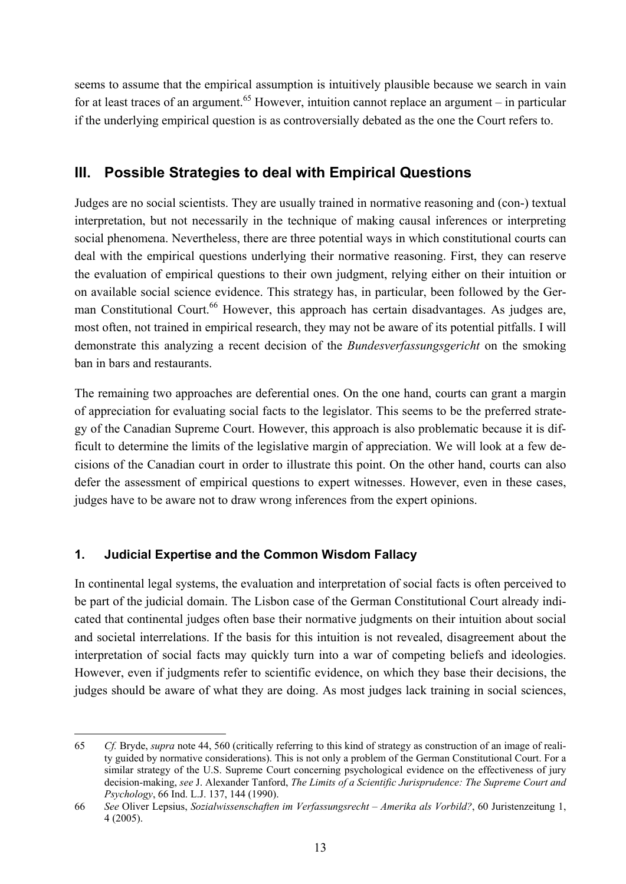seems to assume that the empirical assumption is intuitively plausible because we search in vain for at least traces of an argument.<sup>65</sup> However, intuition cannot replace an argument – in particular if the underlying empirical question is as controversially debated as the one the Court refers to.

# **III. Possible Strategies to deal with Empirical Questions**

Judges are no social scientists. They are usually trained in normative reasoning and (con-) textual interpretation, but not necessarily in the technique of making causal inferences or interpreting social phenomena. Nevertheless, there are three potential ways in which constitutional courts can deal with the empirical questions underlying their normative reasoning. First, they can reserve the evaluation of empirical questions to their own judgment, relying either on their intuition or on available social science evidence. This strategy has, in particular, been followed by the German Constitutional Court.<sup>66</sup> However, this approach has certain disadvantages. As judges are, most often, not trained in empirical research, they may not be aware of its potential pitfalls. I will demonstrate this analyzing a recent decision of the *Bundesverfassungsgericht* on the smoking ban in bars and restaurants.

The remaining two approaches are deferential ones. On the one hand, courts can grant a margin of appreciation for evaluating social facts to the legislator. This seems to be the preferred strategy of the Canadian Supreme Court. However, this approach is also problematic because it is difficult to determine the limits of the legislative margin of appreciation. We will look at a few decisions of the Canadian court in order to illustrate this point. On the other hand, courts can also defer the assessment of empirical questions to expert witnesses. However, even in these cases, judges have to be aware not to draw wrong inferences from the expert opinions.

# **1. Judicial Expertise and the Common Wisdom Fallacy**

-

In continental legal systems, the evaluation and interpretation of social facts is often perceived to be part of the judicial domain. The Lisbon case of the German Constitutional Court already indicated that continental judges often base their normative judgments on their intuition about social and societal interrelations. If the basis for this intuition is not revealed, disagreement about the interpretation of social facts may quickly turn into a war of competing beliefs and ideologies. However, even if judgments refer to scientific evidence, on which they base their decisions, the judges should be aware of what they are doing. As most judges lack training in social sciences,

<sup>65</sup> *Cf.* Bryde, *supra* note 44, 560 (critically referring to this kind of strategy as construction of an image of reality guided by normative considerations). This is not only a problem of the German Constitutional Court. For a similar strategy of the U.S. Supreme Court concerning psychological evidence on the effectiveness of jury decision-making, *see* J. Alexander Tanford, *The Limits of a Scientific Jurisprudence: The Supreme Court and Psychology*, 66 Ind. L.J. 137, 144 (1990).

<sup>66</sup> *See* Oliver Lepsius, *Sozialwissenschaften im Verfassungsrecht – Amerika als Vorbild?*, 60 Juristenzeitung 1, 4 (2005).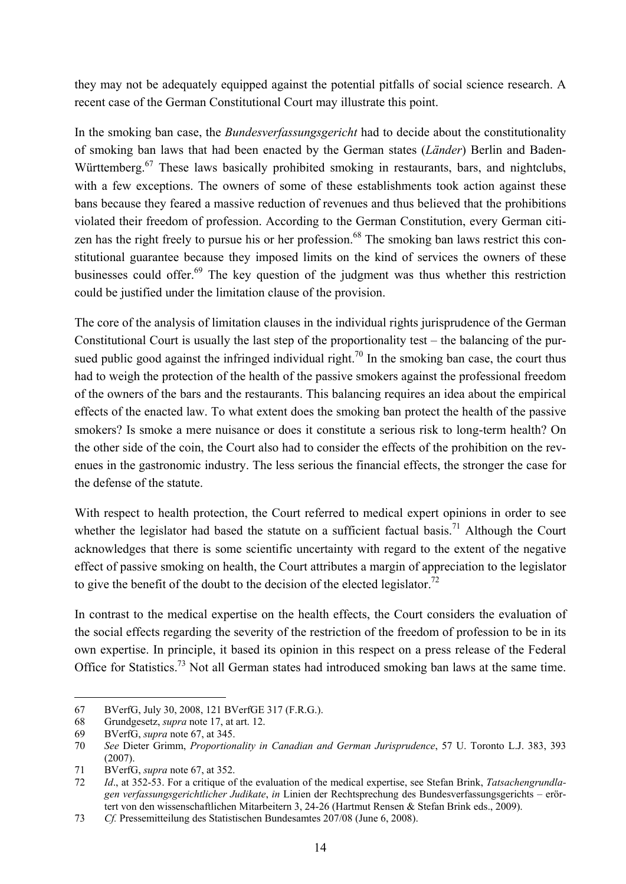they may not be adequately equipped against the potential pitfalls of social science research. A recent case of the German Constitutional Court may illustrate this point.

In the smoking ban case, the *Bundesverfassungsgericht* had to decide about the constitutionality of smoking ban laws that had been enacted by the German states (*Länder*) Berlin and Baden-Württemberg.<sup>67</sup> These laws basically prohibited smoking in restaurants, bars, and nightclubs, with a few exceptions. The owners of some of these establishments took action against these bans because they feared a massive reduction of revenues and thus believed that the prohibitions violated their freedom of profession. According to the German Constitution, every German citizen has the right freely to pursue his or her profession.<sup>68</sup> The smoking ban laws restrict this constitutional guarantee because they imposed limits on the kind of services the owners of these businesses could offer.<sup>69</sup> The key question of the judgment was thus whether this restriction could be justified under the limitation clause of the provision.

The core of the analysis of limitation clauses in the individual rights jurisprudence of the German Constitutional Court is usually the last step of the proportionality test – the balancing of the pursued public good against the infringed individual right.<sup>70</sup> In the smoking ban case, the court thus had to weigh the protection of the health of the passive smokers against the professional freedom of the owners of the bars and the restaurants. This balancing requires an idea about the empirical effects of the enacted law. To what extent does the smoking ban protect the health of the passive smokers? Is smoke a mere nuisance or does it constitute a serious risk to long-term health? On the other side of the coin, the Court also had to consider the effects of the prohibition on the revenues in the gastronomic industry. The less serious the financial effects, the stronger the case for the defense of the statute.

With respect to health protection, the Court referred to medical expert opinions in order to see whether the legislator had based the statute on a sufficient factual basis.<sup>71</sup> Although the Court acknowledges that there is some scientific uncertainty with regard to the extent of the negative effect of passive smoking on health, the Court attributes a margin of appreciation to the legislator to give the benefit of the doubt to the decision of the elected legislator.<sup>72</sup>

In contrast to the medical expertise on the health effects, the Court considers the evaluation of the social effects regarding the severity of the restriction of the freedom of profession to be in its own expertise. In principle, it based its opinion in this respect on a press release of the Federal Office for Statistics.73 Not all German states had introduced smoking ban laws at the same time.

<sup>-</sup>67 BVerfG, July 30, 2008, 121 BVerfGE 317 (F.R.G.).

<sup>68</sup> Grundgesetz, *supra* note 17, at art. 12.

<sup>69</sup> BVerfG, *supra* note 67, at 345.

<sup>70</sup> *See* Dieter Grimm, *Proportionality in Canadian and German Jurisprudence*, 57 U. Toronto L.J. 383, 393  $(2007)$ 

<sup>71</sup> BVerfG, *supra* note 67, at 352.

<sup>72</sup> *Id*., at 352-53. For a critique of the evaluation of the medical expertise, see Stefan Brink, *Tatsachengrundlagen verfassungsgerichtlicher Judikate*, *in* Linien der Rechtsprechung des Bundesverfassungsgerichts – erörtert von den wissenschaftlichen Mitarbeitern 3, 24-26 (Hartmut Rensen & Stefan Brink eds., 2009).

<sup>73</sup> *Cf.* Pressemitteilung des Statistischen Bundesamtes 207/08 (June 6, 2008).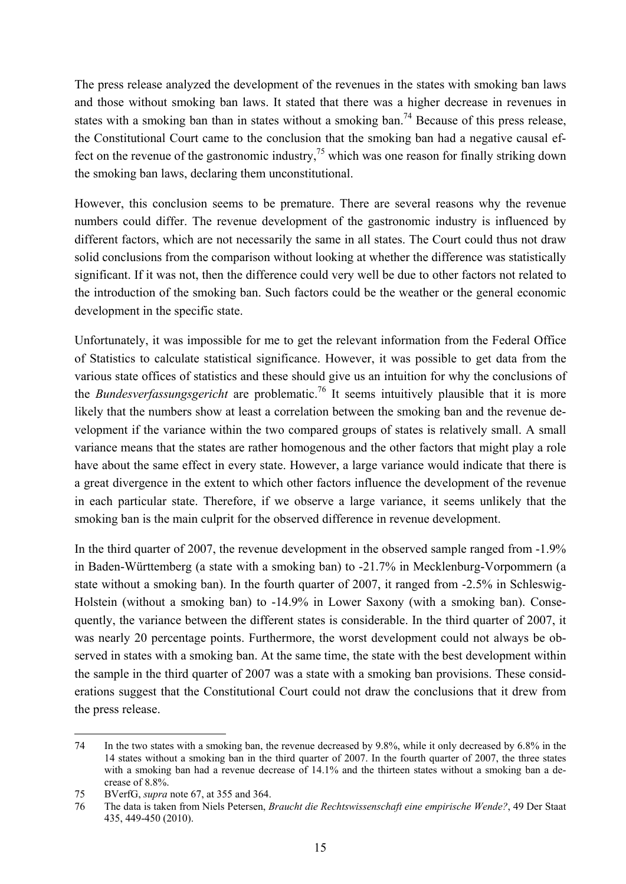The press release analyzed the development of the revenues in the states with smoking ban laws and those without smoking ban laws. It stated that there was a higher decrease in revenues in states with a smoking ban than in states without a smoking ban.<sup>74</sup> Because of this press release, the Constitutional Court came to the conclusion that the smoking ban had a negative causal effect on the revenue of the gastronomic industry.<sup>75</sup> which was one reason for finally striking down the smoking ban laws, declaring them unconstitutional.

However, this conclusion seems to be premature. There are several reasons why the revenue numbers could differ. The revenue development of the gastronomic industry is influenced by different factors, which are not necessarily the same in all states. The Court could thus not draw solid conclusions from the comparison without looking at whether the difference was statistically significant. If it was not, then the difference could very well be due to other factors not related to the introduction of the smoking ban. Such factors could be the weather or the general economic development in the specific state.

Unfortunately, it was impossible for me to get the relevant information from the Federal Office of Statistics to calculate statistical significance. However, it was possible to get data from the various state offices of statistics and these should give us an intuition for why the conclusions of the *Bundesverfassungsgericht* are problematic.76 It seems intuitively plausible that it is more likely that the numbers show at least a correlation between the smoking ban and the revenue development if the variance within the two compared groups of states is relatively small. A small variance means that the states are rather homogenous and the other factors that might play a role have about the same effect in every state. However, a large variance would indicate that there is a great divergence in the extent to which other factors influence the development of the revenue in each particular state. Therefore, if we observe a large variance, it seems unlikely that the smoking ban is the main culprit for the observed difference in revenue development.

In the third quarter of 2007, the revenue development in the observed sample ranged from -1.9% in Baden-Württemberg (a state with a smoking ban) to -21.7% in Mecklenburg-Vorpommern (a state without a smoking ban). In the fourth quarter of 2007, it ranged from -2.5% in Schleswig-Holstein (without a smoking ban) to -14.9% in Lower Saxony (with a smoking ban). Consequently, the variance between the different states is considerable. In the third quarter of 2007, it was nearly 20 percentage points. Furthermore, the worst development could not always be observed in states with a smoking ban. At the same time, the state with the best development within the sample in the third quarter of 2007 was a state with a smoking ban provisions. These considerations suggest that the Constitutional Court could not draw the conclusions that it drew from the press release.

<sup>74</sup> In the two states with a smoking ban, the revenue decreased by 9.8%, while it only decreased by 6.8% in the 14 states without a smoking ban in the third quarter of 2007. In the fourth quarter of 2007, the three states with a smoking ban had a revenue decrease of 14.1% and the thirteen states without a smoking ban a decrease of 8.8%.

<sup>75</sup> BVerfG, *supra* note 67, at 355 and 364.

<sup>76</sup> The data is taken from Niels Petersen, *Braucht die Rechtswissenschaft eine empirische Wende?*, 49 Der Staat 435, 449-450 (2010).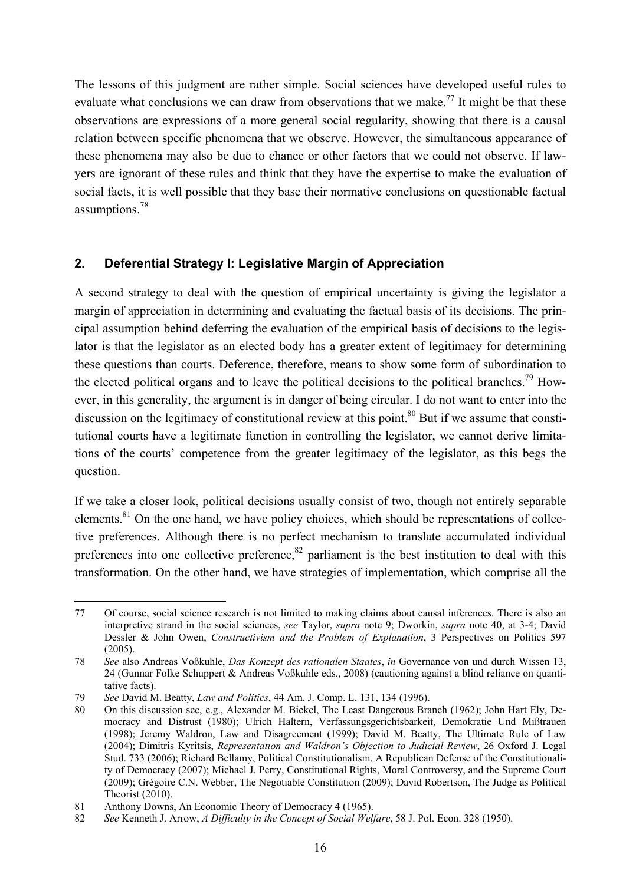The lessons of this judgment are rather simple. Social sciences have developed useful rules to evaluate what conclusions we can draw from observations that we make.<sup>77</sup> It might be that these observations are expressions of a more general social regularity, showing that there is a causal relation between specific phenomena that we observe. However, the simultaneous appearance of these phenomena may also be due to chance or other factors that we could not observe. If lawyers are ignorant of these rules and think that they have the expertise to make the evaluation of social facts, it is well possible that they base their normative conclusions on questionable factual assumptions.78

#### **2. Deferential Strategy I: Legislative Margin of Appreciation**

A second strategy to deal with the question of empirical uncertainty is giving the legislator a margin of appreciation in determining and evaluating the factual basis of its decisions. The principal assumption behind deferring the evaluation of the empirical basis of decisions to the legislator is that the legislator as an elected body has a greater extent of legitimacy for determining these questions than courts. Deference, therefore, means to show some form of subordination to the elected political organs and to leave the political decisions to the political branches.<sup>79</sup> However, in this generality, the argument is in danger of being circular. I do not want to enter into the discussion on the legitimacy of constitutional review at this point.<sup>80</sup> But if we assume that constitutional courts have a legitimate function in controlling the legislator, we cannot derive limitations of the courts' competence from the greater legitimacy of the legislator, as this begs the question.

If we take a closer look, political decisions usually consist of two, though not entirely separable elements.<sup>81</sup> On the one hand, we have policy choices, which should be representations of collective preferences. Although there is no perfect mechanism to translate accumulated individual preferences into one collective preference,  $82$  parliament is the best institution to deal with this transformation. On the other hand, we have strategies of implementation, which comprise all the

<sup>-</sup>77 Of course, social science research is not limited to making claims about causal inferences. There is also an interpretive strand in the social sciences, *see* Taylor, *supra* note 9; Dworkin, *supra* note 40, at 3-4; David Dessler & John Owen, *Constructivism and the Problem of Explanation*, 3 Perspectives on Politics 597 (2005).

<sup>78</sup> *See* also Andreas Voßkuhle, *Das Konzept des rationalen Staates*, *in* Governance von und durch Wissen 13, 24 (Gunnar Folke Schuppert & Andreas Voßkuhle eds., 2008) (cautioning against a blind reliance on quantitative facts).

<sup>79</sup> *See* David M. Beatty, *Law and Politics*, 44 Am. J. Comp. L. 131, 134 (1996).

<sup>80</sup> On this discussion see, e.g., Alexander M. Bickel, The Least Dangerous Branch (1962); John Hart Ely, Democracy and Distrust (1980); Ulrich Haltern, Verfassungsgerichtsbarkeit, Demokratie Und Mißtrauen (1998); Jeremy Waldron, Law and Disagreement (1999); David M. Beatty, The Ultimate Rule of Law (2004); Dimitris Kyritsis, *Representation and Waldron's Objection to Judicial Review*, 26 Oxford J. Legal Stud. 733 (2006); Richard Bellamy, Political Constitutionalism. A Republican Defense of the Constitutionality of Democracy (2007); Michael J. Perry, Constitutional Rights, Moral Controversy, and the Supreme Court (2009); Grégoire C.N. Webber, The Negotiable Constitution (2009); David Robertson, The Judge as Political Theorist (2010).

<sup>81</sup> Anthony Downs, An Economic Theory of Democracy 4 (1965).

<sup>82</sup> *See* Kenneth J. Arrow, *A Difficulty in the Concept of Social Welfare*, 58 J. Pol. Econ. 328 (1950).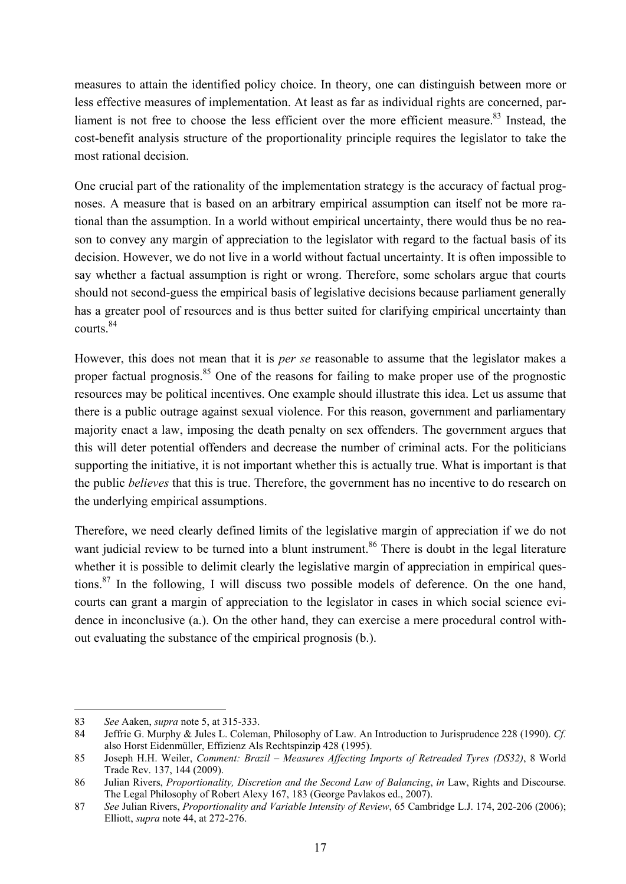measures to attain the identified policy choice. In theory, one can distinguish between more or less effective measures of implementation. At least as far as individual rights are concerned, parliament is not free to choose the less efficient over the more efficient measure. $83$  Instead, the cost-benefit analysis structure of the proportionality principle requires the legislator to take the most rational decision.

One crucial part of the rationality of the implementation strategy is the accuracy of factual prognoses. A measure that is based on an arbitrary empirical assumption can itself not be more rational than the assumption. In a world without empirical uncertainty, there would thus be no reason to convey any margin of appreciation to the legislator with regard to the factual basis of its decision. However, we do not live in a world without factual uncertainty. It is often impossible to say whether a factual assumption is right or wrong. Therefore, some scholars argue that courts should not second-guess the empirical basis of legislative decisions because parliament generally has a greater pool of resources and is thus better suited for clarifying empirical uncertainty than courts.<sup>84</sup>

However, this does not mean that it is *per se* reasonable to assume that the legislator makes a proper factual prognosis.<sup>85</sup> One of the reasons for failing to make proper use of the prognostic resources may be political incentives. One example should illustrate this idea. Let us assume that there is a public outrage against sexual violence. For this reason, government and parliamentary majority enact a law, imposing the death penalty on sex offenders. The government argues that this will deter potential offenders and decrease the number of criminal acts. For the politicians supporting the initiative, it is not important whether this is actually true. What is important is that the public *believes* that this is true. Therefore, the government has no incentive to do research on the underlying empirical assumptions.

Therefore, we need clearly defined limits of the legislative margin of appreciation if we do not want judicial review to be turned into a blunt instrument.<sup>86</sup> There is doubt in the legal literature whether it is possible to delimit clearly the legislative margin of appreciation in empirical questions.<sup>87</sup> In the following, I will discuss two possible models of deference. On the one hand, courts can grant a margin of appreciation to the legislator in cases in which social science evidence in inconclusive (a.). On the other hand, they can exercise a mere procedural control without evaluating the substance of the empirical prognosis (b.).

<sup>83</sup> *See* Aaken, *supra* note 5, at 315-333.

<sup>84</sup> Jeffrie G. Murphy & Jules L. Coleman, Philosophy of Law. An Introduction to Jurisprudence 228 (1990). *Cf.* also Horst Eidenmüller, Effizienz Als Rechtspinzip 428 (1995).

<sup>85</sup> Joseph H.H. Weiler, *Comment: Brazil – Measures Affecting Imports of Retreaded Tyres (DS32)*, 8 World Trade Rev. 137, 144 (2009).

<sup>86</sup> Julian Rivers, *Proportionality, Discretion and the Second Law of Balancing*, *in* Law, Rights and Discourse. The Legal Philosophy of Robert Alexy 167, 183 (George Pavlakos ed., 2007).

<sup>87</sup> *See* Julian Rivers, *Proportionality and Variable Intensity of Review*, 65 Cambridge L.J. 174, 202-206 (2006); Elliott, *supra* note 44, at 272-276.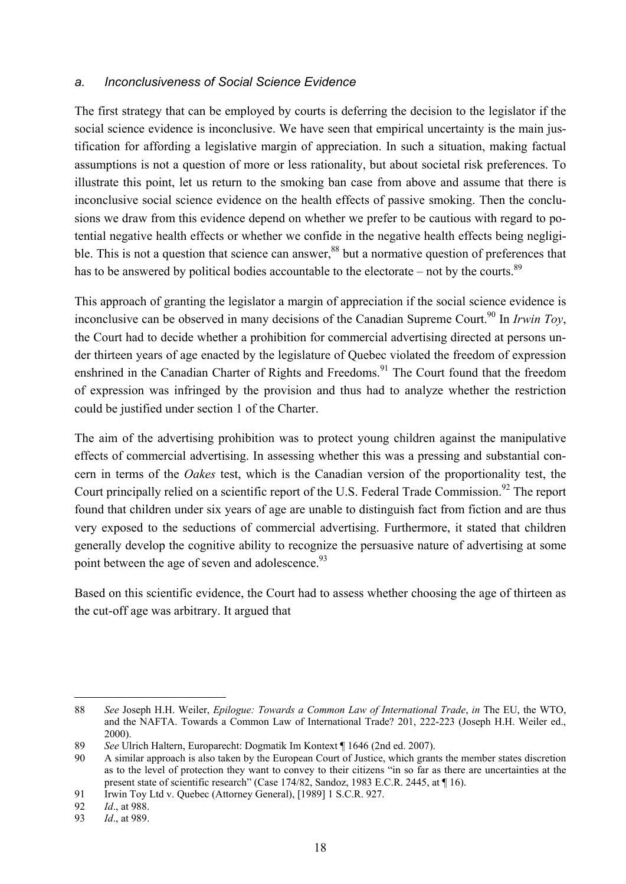#### *a. Inconclusiveness of Social Science Evidence*

The first strategy that can be employed by courts is deferring the decision to the legislator if the social science evidence is inconclusive. We have seen that empirical uncertainty is the main justification for affording a legislative margin of appreciation. In such a situation, making factual assumptions is not a question of more or less rationality, but about societal risk preferences. To illustrate this point, let us return to the smoking ban case from above and assume that there is inconclusive social science evidence on the health effects of passive smoking. Then the conclusions we draw from this evidence depend on whether we prefer to be cautious with regard to potential negative health effects or whether we confide in the negative health effects being negligible. This is not a question that science can answer,<sup>88</sup> but a normative question of preferences that has to be answered by political bodies accountable to the electorate – not by the courts.<sup>89</sup>

This approach of granting the legislator a margin of appreciation if the social science evidence is inconclusive can be observed in many decisions of the Canadian Supreme Court.<sup>90</sup> In *Irwin Toy*, the Court had to decide whether a prohibition for commercial advertising directed at persons under thirteen years of age enacted by the legislature of Quebec violated the freedom of expression enshrined in the Canadian Charter of Rights and Freedoms.<sup>91</sup> The Court found that the freedom of expression was infringed by the provision and thus had to analyze whether the restriction could be justified under section 1 of the Charter.

The aim of the advertising prohibition was to protect young children against the manipulative effects of commercial advertising. In assessing whether this was a pressing and substantial concern in terms of the *Oakes* test, which is the Canadian version of the proportionality test, the Court principally relied on a scientific report of the U.S. Federal Trade Commission.<sup>92</sup> The report found that children under six years of age are unable to distinguish fact from fiction and are thus very exposed to the seductions of commercial advertising. Furthermore, it stated that children generally develop the cognitive ability to recognize the persuasive nature of advertising at some point between the age of seven and adolescence.<sup>93</sup>

Based on this scientific evidence, the Court had to assess whether choosing the age of thirteen as the cut-off age was arbitrary. It argued that

91 Irwin Toy Ltd v. Quebec (Attorney General), [1989] 1 S.C.R. 927.

92 *Id*., at 988.

<sup>-</sup>88 *See* Joseph H.H. Weiler, *Epilogue: Towards a Common Law of International Trade*, *in* The EU, the WTO, and the NAFTA. Towards a Common Law of International Trade? 201, 222-223 (Joseph H.H. Weiler ed., 2000).

<sup>89</sup> *See* Ulrich Haltern, Europarecht: Dogmatik Im Kontext ¶ 1646 (2nd ed. 2007).

<sup>90</sup> A similar approach is also taken by the European Court of Justice, which grants the member states discretion as to the level of protection they want to convey to their citizens "in so far as there are uncertainties at the present state of scientific research" (Case 174/82, Sandoz, 1983 E.C.R. 2445, at ¶ 16).

<sup>93</sup> *Id*., at 989.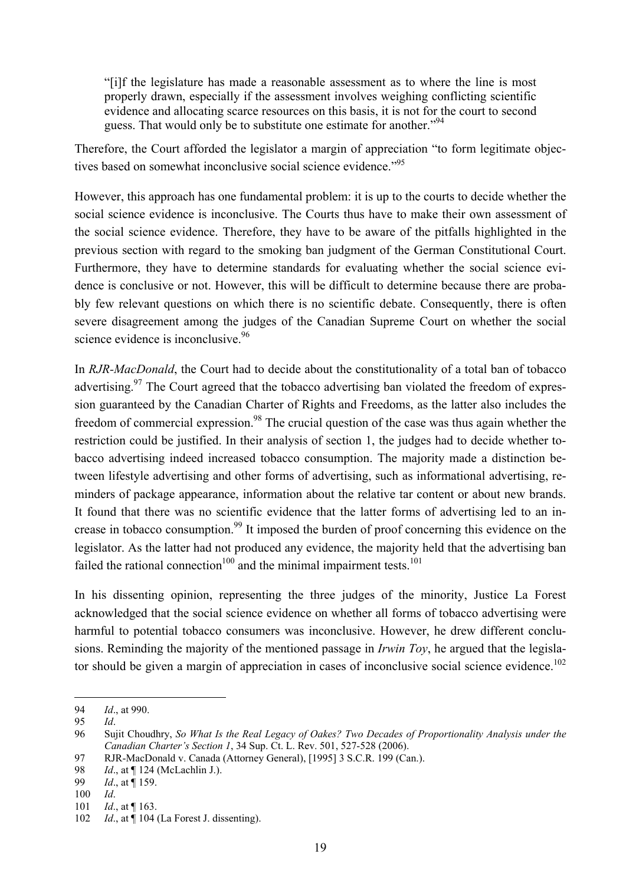"[i]f the legislature has made a reasonable assessment as to where the line is most properly drawn, especially if the assessment involves weighing conflicting scientific evidence and allocating scarce resources on this basis, it is not for the court to second guess. That would only be to substitute one estimate for another."94

Therefore, the Court afforded the legislator a margin of appreciation "to form legitimate objectives based on somewhat inconclusive social science evidence."<sup>95</sup>

However, this approach has one fundamental problem: it is up to the courts to decide whether the social science evidence is inconclusive. The Courts thus have to make their own assessment of the social science evidence. Therefore, they have to be aware of the pitfalls highlighted in the previous section with regard to the smoking ban judgment of the German Constitutional Court. Furthermore, they have to determine standards for evaluating whether the social science evidence is conclusive or not. However, this will be difficult to determine because there are probably few relevant questions on which there is no scientific debate. Consequently, there is often severe disagreement among the judges of the Canadian Supreme Court on whether the social science evidence is inconclusive.<sup>96</sup>

In *RJR-MacDonald*, the Court had to decide about the constitutionality of a total ban of tobacco advertising.<sup>97</sup> The Court agreed that the tobacco advertising ban violated the freedom of expression guaranteed by the Canadian Charter of Rights and Freedoms, as the latter also includes the freedom of commercial expression.<sup>98</sup> The crucial question of the case was thus again whether the restriction could be justified. In their analysis of section 1, the judges had to decide whether tobacco advertising indeed increased tobacco consumption. The majority made a distinction between lifestyle advertising and other forms of advertising, such as informational advertising, reminders of package appearance, information about the relative tar content or about new brands. It found that there was no scientific evidence that the latter forms of advertising led to an increase in tobacco consumption.<sup>99</sup> It imposed the burden of proof concerning this evidence on the legislator. As the latter had not produced any evidence, the majority held that the advertising ban failed the rational connection<sup>100</sup> and the minimal impairment tests.<sup>101</sup>

In his dissenting opinion, representing the three judges of the minority, Justice La Forest acknowledged that the social science evidence on whether all forms of tobacco advertising were harmful to potential tobacco consumers was inconclusive. However, he drew different conclusions. Reminding the majority of the mentioned passage in *Irwin Toy*, he argued that the legislator should be given a margin of appreciation in cases of inconclusive social science evidence.<sup>102</sup>

<sup>94</sup> *Id*., at 990.

<sup>95</sup> *Id*.

<sup>96</sup> Sujit Choudhry, *So What Is the Real Legacy of Oakes? Two Decades of Proportionality Analysis under the Canadian Charter's Section 1*, 34 Sup. Ct. L. Rev. 501, 527-528 (2006).

<sup>97</sup> RJR-MacDonald v. Canada (Attorney General), [1995] 3 S.C.R. 199 (Can.).

<sup>98</sup> *Id*., at ¶ 124 (McLachlin J.).

<sup>99</sup> *Id*., at ¶ 159.

<sup>100</sup> *Id*.

<sup>101</sup> *Id*., at ¶ 163.

<sup>102</sup> *Id*., at ¶ 104 (La Forest J. dissenting).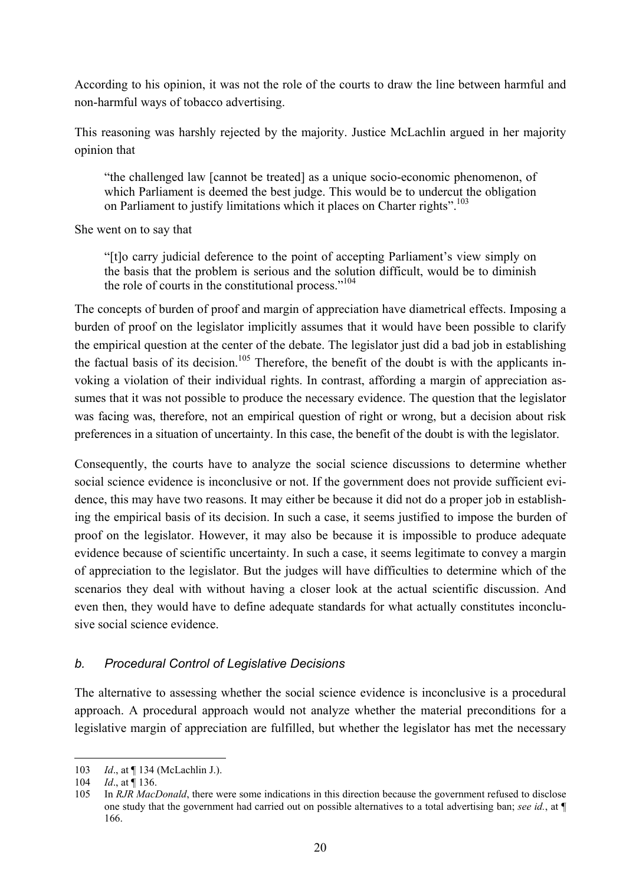According to his opinion, it was not the role of the courts to draw the line between harmful and non-harmful ways of tobacco advertising.

This reasoning was harshly rejected by the majority. Justice McLachlin argued in her majority opinion that

"the challenged law [cannot be treated] as a unique socio-economic phenomenon, of which Parliament is deemed the best judge. This would be to undercut the obligation on Parliament to justify limitations which it places on Charter rights".<sup>103</sup>

She went on to say that

"[t]o carry judicial deference to the point of accepting Parliament's view simply on the basis that the problem is serious and the solution difficult, would be to diminish the role of courts in the constitutional process."<sup>104</sup>

The concepts of burden of proof and margin of appreciation have diametrical effects. Imposing a burden of proof on the legislator implicitly assumes that it would have been possible to clarify the empirical question at the center of the debate. The legislator just did a bad job in establishing the factual basis of its decision.<sup>105</sup> Therefore, the benefit of the doubt is with the applicants invoking a violation of their individual rights. In contrast, affording a margin of appreciation assumes that it was not possible to produce the necessary evidence. The question that the legislator was facing was, therefore, not an empirical question of right or wrong, but a decision about risk preferences in a situation of uncertainty. In this case, the benefit of the doubt is with the legislator.

Consequently, the courts have to analyze the social science discussions to determine whether social science evidence is inconclusive or not. If the government does not provide sufficient evidence, this may have two reasons. It may either be because it did not do a proper job in establishing the empirical basis of its decision. In such a case, it seems justified to impose the burden of proof on the legislator. However, it may also be because it is impossible to produce adequate evidence because of scientific uncertainty. In such a case, it seems legitimate to convey a margin of appreciation to the legislator. But the judges will have difficulties to determine which of the scenarios they deal with without having a closer look at the actual scientific discussion. And even then, they would have to define adequate standards for what actually constitutes inconclusive social science evidence.

## *b. Procedural Control of Legislative Decisions*

The alternative to assessing whether the social science evidence is inconclusive is a procedural approach. A procedural approach would not analyze whether the material preconditions for a legislative margin of appreciation are fulfilled, but whether the legislator has met the necessary

<sup>-</sup>103 *Id*., at ¶ 134 (McLachlin J.).

<sup>104</sup> *Id*., at ¶ 136.

<sup>105</sup> In *RJR MacDonald*, there were some indications in this direction because the government refused to disclose one study that the government had carried out on possible alternatives to a total advertising ban; *see id.*, at ¶ 166.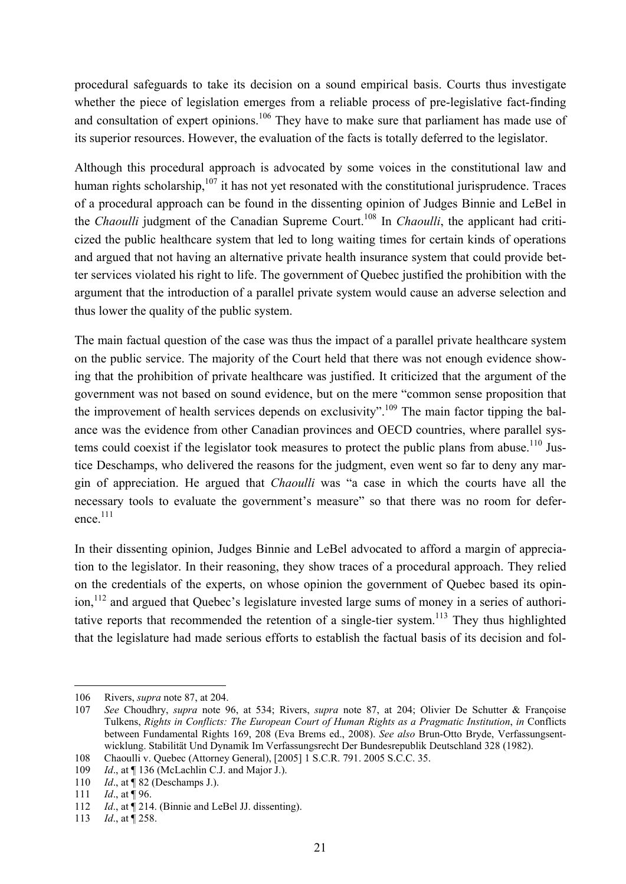procedural safeguards to take its decision on a sound empirical basis. Courts thus investigate whether the piece of legislation emerges from a reliable process of pre-legislative fact-finding and consultation of expert opinions.<sup>106</sup> They have to make sure that parliament has made use of its superior resources. However, the evaluation of the facts is totally deferred to the legislator.

Although this procedural approach is advocated by some voices in the constitutional law and human rights scholarship, $107$  it has not yet resonated with the constitutional jurisprudence. Traces of a procedural approach can be found in the dissenting opinion of Judges Binnie and LeBel in the *Chaoulli* judgment of the Canadian Supreme Court.<sup>108</sup> In *Chaoulli*, the applicant had criticized the public healthcare system that led to long waiting times for certain kinds of operations and argued that not having an alternative private health insurance system that could provide better services violated his right to life. The government of Quebec justified the prohibition with the argument that the introduction of a parallel private system would cause an adverse selection and thus lower the quality of the public system.

The main factual question of the case was thus the impact of a parallel private healthcare system on the public service. The majority of the Court held that there was not enough evidence showing that the prohibition of private healthcare was justified. It criticized that the argument of the government was not based on sound evidence, but on the mere "common sense proposition that the improvement of health services depends on exclusivity".<sup>109</sup> The main factor tipping the balance was the evidence from other Canadian provinces and OECD countries, where parallel systems could coexist if the legislator took measures to protect the public plans from abuse.<sup>110</sup> Justice Deschamps, who delivered the reasons for the judgment, even went so far to deny any margin of appreciation. He argued that *Chaoulli* was "a case in which the courts have all the necessary tools to evaluate the government's measure" so that there was no room for deference.<sup>111</sup>

In their dissenting opinion, Judges Binnie and LeBel advocated to afford a margin of appreciation to the legislator. In their reasoning, they show traces of a procedural approach. They relied on the credentials of the experts, on whose opinion the government of Quebec based its opin- $\mu$ <sup>112</sup> and argued that Quebec's legislature invested large sums of money in a series of authoritative reports that recommended the retention of a single-tier system.<sup>113</sup> They thus highlighted that the legislature had made serious efforts to establish the factual basis of its decision and fol-

<sup>106</sup> Rivers, *supra* note 87, at 204.

<sup>107</sup> *See* Choudhry, *supra* note 96, at 534; Rivers, *supra* note 87, at 204; Olivier De Schutter & Françoise Tulkens, *Rights in Conflicts: The European Court of Human Rights as a Pragmatic Institution*, *in* Conflicts between Fundamental Rights 169, 208 (Eva Brems ed., 2008). *See also* Brun-Otto Bryde, Verfassungsentwicklung. Stabilität Und Dynamik Im Verfassungsrecht Der Bundesrepublik Deutschland 328 (1982).

<sup>108</sup> Chaoulli v. Quebec (Attorney General), [2005] 1 S.C.R. 791. 2005 S.C.C. 35.

<sup>109</sup> *Id*., at ¶ 136 (McLachlin C.J. and Major J.).

<sup>110</sup> *Id*., at ¶ 82 (Deschamps J.).

<sup>111</sup> *Id*., at ¶ 96.

<sup>112</sup> *Id*., at ¶ 214. (Binnie and LeBel JJ. dissenting).

<sup>113</sup> *Id*., at ¶ 258.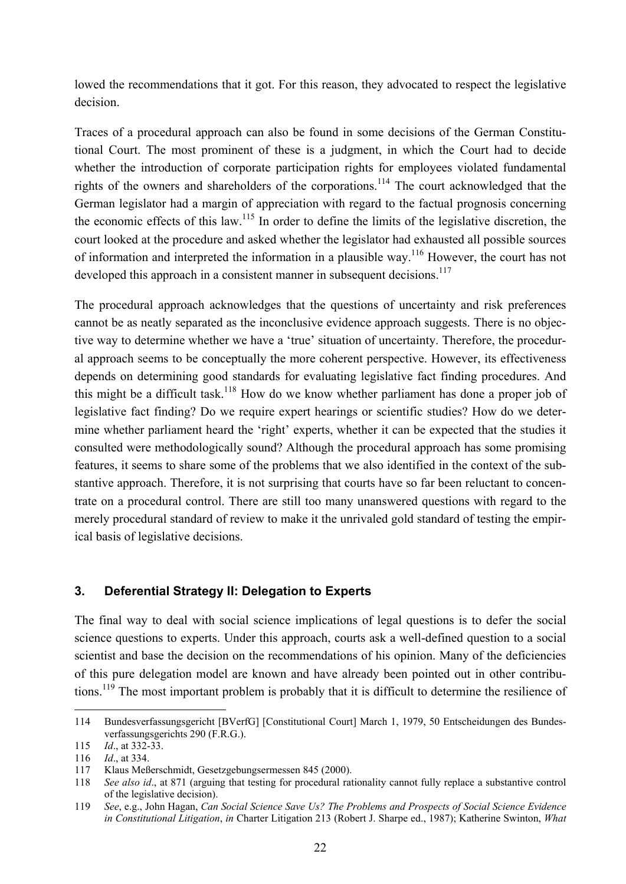lowed the recommendations that it got. For this reason, they advocated to respect the legislative decision.

Traces of a procedural approach can also be found in some decisions of the German Constitutional Court. The most prominent of these is a judgment, in which the Court had to decide whether the introduction of corporate participation rights for employees violated fundamental rights of the owners and shareholders of the corporations.<sup>114</sup> The court acknowledged that the German legislator had a margin of appreciation with regard to the factual prognosis concerning the economic effects of this law.115 In order to define the limits of the legislative discretion, the court looked at the procedure and asked whether the legislator had exhausted all possible sources of information and interpreted the information in a plausible way.<sup>116</sup> However, the court has not developed this approach in a consistent manner in subsequent decisions.<sup>117</sup>

The procedural approach acknowledges that the questions of uncertainty and risk preferences cannot be as neatly separated as the inconclusive evidence approach suggests. There is no objective way to determine whether we have a 'true' situation of uncertainty. Therefore, the procedural approach seems to be conceptually the more coherent perspective. However, its effectiveness depends on determining good standards for evaluating legislative fact finding procedures. And this might be a difficult task.<sup>118</sup> How do we know whether parliament has done a proper job of legislative fact finding? Do we require expert hearings or scientific studies? How do we determine whether parliament heard the 'right' experts, whether it can be expected that the studies it consulted were methodologically sound? Although the procedural approach has some promising features, it seems to share some of the problems that we also identified in the context of the substantive approach. Therefore, it is not surprising that courts have so far been reluctant to concentrate on a procedural control. There are still too many unanswered questions with regard to the merely procedural standard of review to make it the unrivaled gold standard of testing the empirical basis of legislative decisions.

#### **3. Deferential Strategy II: Delegation to Experts**

The final way to deal with social science implications of legal questions is to defer the social science questions to experts. Under this approach, courts ask a well-defined question to a social scientist and base the decision on the recommendations of his opinion. Many of the deficiencies of this pure delegation model are known and have already been pointed out in other contributions.119 The most important problem is probably that it is difficult to determine the resilience of

<sup>114</sup> Bundesverfassungsgericht [BVerfG] [Constitutional Court] March 1, 1979, 50 Entscheidungen des Bundesverfassungsgerichts 290 (F.R.G.).

<sup>115</sup> *Id*., at 332-33. 116 *Id*., at 334.

<sup>117</sup> Klaus Meßerschmidt, Gesetzgebungsermessen 845 (2000).

<sup>118</sup> *See also id*., at 871 (arguing that testing for procedural rationality cannot fully replace a substantive control of the legislative decision).

<sup>119</sup> *See*, e.g., John Hagan, *Can Social Science Save Us? The Problems and Prospects of Social Science Evidence in Constitutional Litigation*, *in* Charter Litigation 213 (Robert J. Sharpe ed., 1987); Katherine Swinton, *What*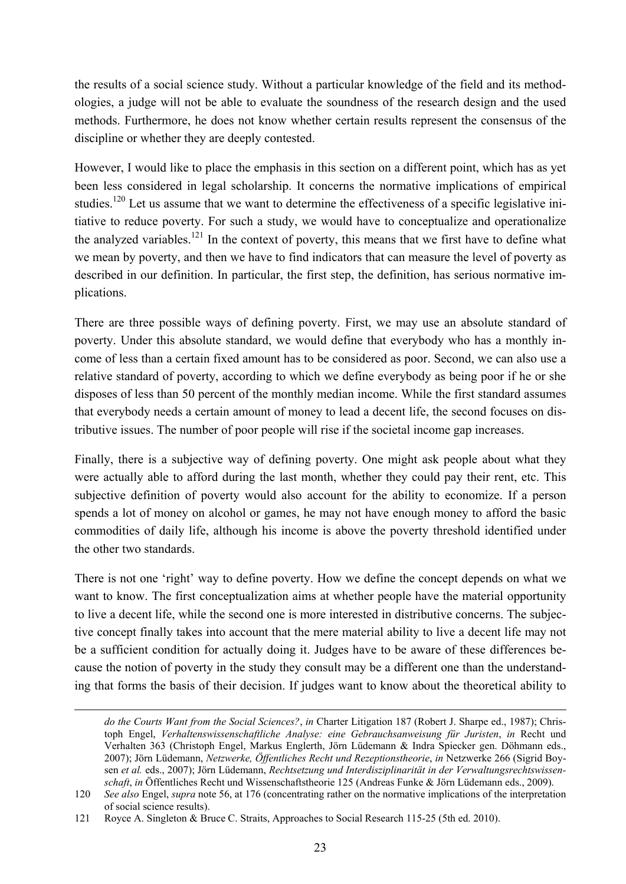the results of a social science study. Without a particular knowledge of the field and its methodologies, a judge will not be able to evaluate the soundness of the research design and the used methods. Furthermore, he does not know whether certain results represent the consensus of the discipline or whether they are deeply contested.

However, I would like to place the emphasis in this section on a different point, which has as yet been less considered in legal scholarship. It concerns the normative implications of empirical studies.<sup>120</sup> Let us assume that we want to determine the effectiveness of a specific legislative initiative to reduce poverty. For such a study, we would have to conceptualize and operationalize the analyzed variables.<sup>121</sup> In the context of poverty, this means that we first have to define what we mean by poverty, and then we have to find indicators that can measure the level of poverty as described in our definition. In particular, the first step, the definition, has serious normative implications.

There are three possible ways of defining poverty. First, we may use an absolute standard of poverty. Under this absolute standard, we would define that everybody who has a monthly income of less than a certain fixed amount has to be considered as poor. Second, we can also use a relative standard of poverty, according to which we define everybody as being poor if he or she disposes of less than 50 percent of the monthly median income. While the first standard assumes that everybody needs a certain amount of money to lead a decent life, the second focuses on distributive issues. The number of poor people will rise if the societal income gap increases.

Finally, there is a subjective way of defining poverty. One might ask people about what they were actually able to afford during the last month, whether they could pay their rent, etc. This subjective definition of poverty would also account for the ability to economize. If a person spends a lot of money on alcohol or games, he may not have enough money to afford the basic commodities of daily life, although his income is above the poverty threshold identified under the other two standards.

There is not one 'right' way to define poverty. How we define the concept depends on what we want to know. The first conceptualization aims at whether people have the material opportunity to live a decent life, while the second one is more interested in distributive concerns. The subjective concept finally takes into account that the mere material ability to live a decent life may not be a sufficient condition for actually doing it. Judges have to be aware of these differences because the notion of poverty in the study they consult may be a different one than the understanding that forms the basis of their decision. If judges want to know about the theoretical ability to

*do the Courts Want from the Social Sciences?*, *in* Charter Litigation 187 (Robert J. Sharpe ed., 1987); Christoph Engel, *Verhaltenswissenschaftliche Analyse: eine Gebrauchsanweisung für Juristen*, *in* Recht und Verhalten 363 (Christoph Engel, Markus Englerth, Jörn Lüdemann & Indra Spiecker gen. Döhmann eds., 2007); Jörn Lüdemann, *Netzwerke, Öffentliches Recht und Rezeptionstheorie*, *in* Netzwerke 266 (Sigrid Boysen *et al.* eds., 2007); Jörn Lüdemann, *Rechtsetzung und Interdisziplinarität in der Verwaltungsrechtswissenschaft*, *in* Öffentliches Recht und Wissenschaftstheorie 125 (Andreas Funke & Jörn Lüdemann eds., 2009).

<sup>120</sup> *See also* Engel, *supra* note 56, at 176 (concentrating rather on the normative implications of the interpretation of social science results).

<sup>121</sup> Royce A. Singleton & Bruce C. Straits, Approaches to Social Research 115-25 (5th ed. 2010).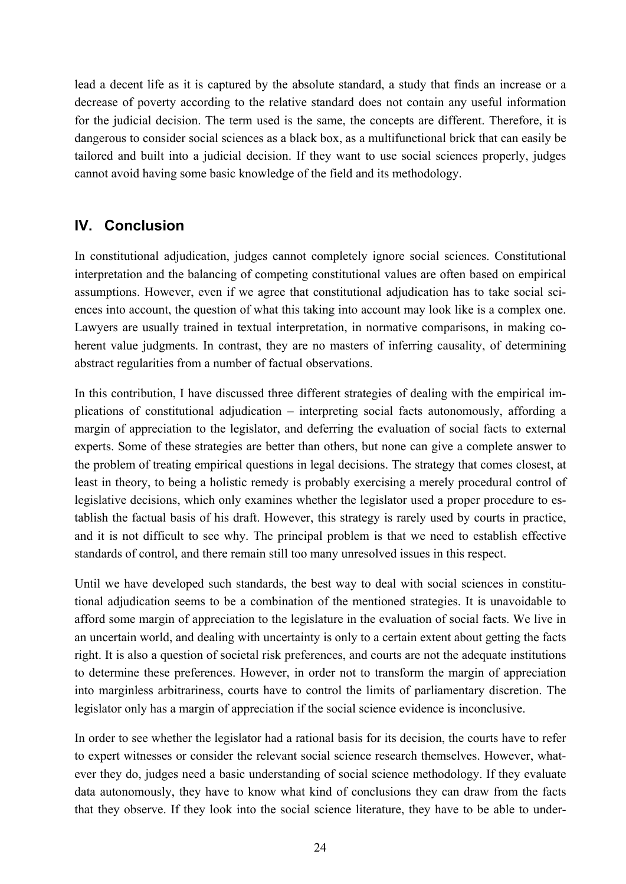lead a decent life as it is captured by the absolute standard, a study that finds an increase or a decrease of poverty according to the relative standard does not contain any useful information for the judicial decision. The term used is the same, the concepts are different. Therefore, it is dangerous to consider social sciences as a black box, as a multifunctional brick that can easily be tailored and built into a judicial decision. If they want to use social sciences properly, judges cannot avoid having some basic knowledge of the field and its methodology.

# **IV. Conclusion**

In constitutional adjudication, judges cannot completely ignore social sciences. Constitutional interpretation and the balancing of competing constitutional values are often based on empirical assumptions. However, even if we agree that constitutional adjudication has to take social sciences into account, the question of what this taking into account may look like is a complex one. Lawyers are usually trained in textual interpretation, in normative comparisons, in making coherent value judgments. In contrast, they are no masters of inferring causality, of determining abstract regularities from a number of factual observations.

In this contribution, I have discussed three different strategies of dealing with the empirical implications of constitutional adjudication – interpreting social facts autonomously, affording a margin of appreciation to the legislator, and deferring the evaluation of social facts to external experts. Some of these strategies are better than others, but none can give a complete answer to the problem of treating empirical questions in legal decisions. The strategy that comes closest, at least in theory, to being a holistic remedy is probably exercising a merely procedural control of legislative decisions, which only examines whether the legislator used a proper procedure to establish the factual basis of his draft. However, this strategy is rarely used by courts in practice, and it is not difficult to see why. The principal problem is that we need to establish effective standards of control, and there remain still too many unresolved issues in this respect.

Until we have developed such standards, the best way to deal with social sciences in constitutional adjudication seems to be a combination of the mentioned strategies. It is unavoidable to afford some margin of appreciation to the legislature in the evaluation of social facts. We live in an uncertain world, and dealing with uncertainty is only to a certain extent about getting the facts right. It is also a question of societal risk preferences, and courts are not the adequate institutions to determine these preferences. However, in order not to transform the margin of appreciation into marginless arbitrariness, courts have to control the limits of parliamentary discretion. The legislator only has a margin of appreciation if the social science evidence is inconclusive.

In order to see whether the legislator had a rational basis for its decision, the courts have to refer to expert witnesses or consider the relevant social science research themselves. However, whatever they do, judges need a basic understanding of social science methodology. If they evaluate data autonomously, they have to know what kind of conclusions they can draw from the facts that they observe. If they look into the social science literature, they have to be able to under